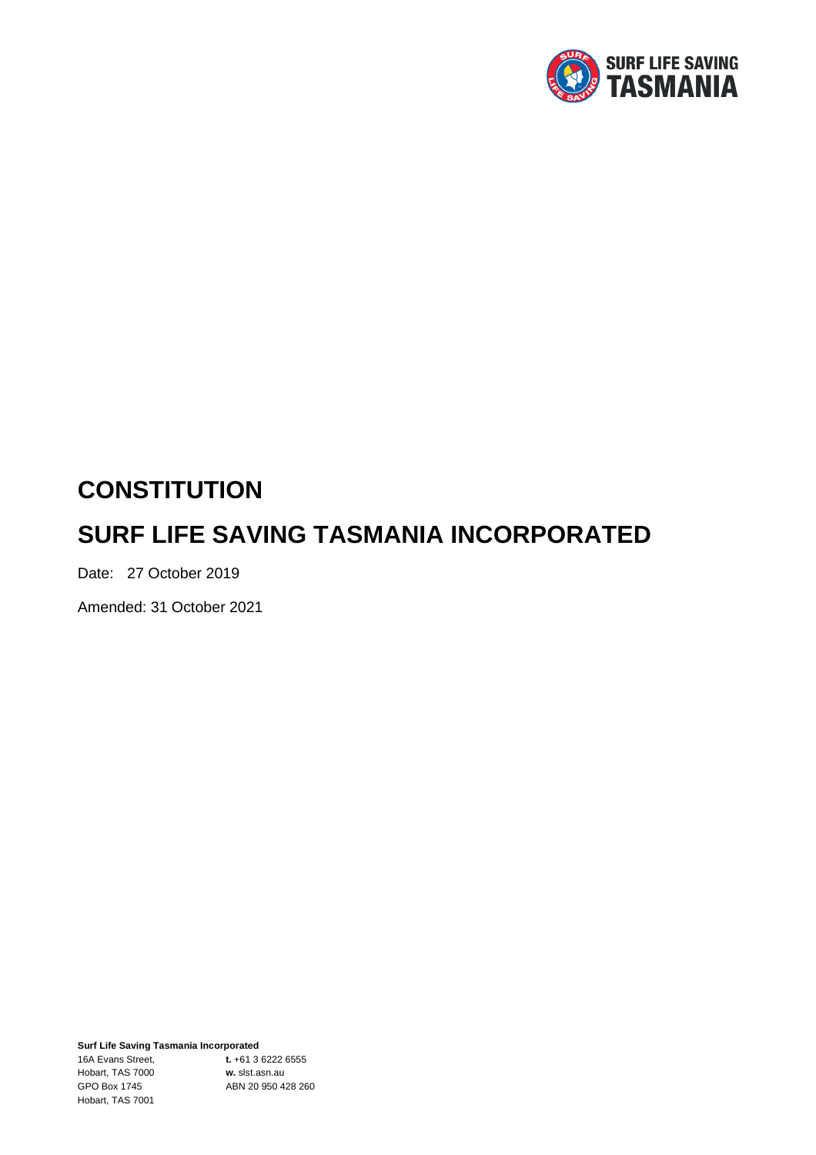

# **CONSTITUTION SURF LIFE SAVING TASMANIA INCORPORATED**

Date: 27 October 2019

Amended: 31 October 2021

**Surf Life Saving Tasmania Incorporated** 16A Evans Street, **t.** +61 3 6222 6555 Hobart, TAS 7000 **w.** slst.asn.au GPO Box 1745 ABN 20 950 428 260 Hobart, TAS 7001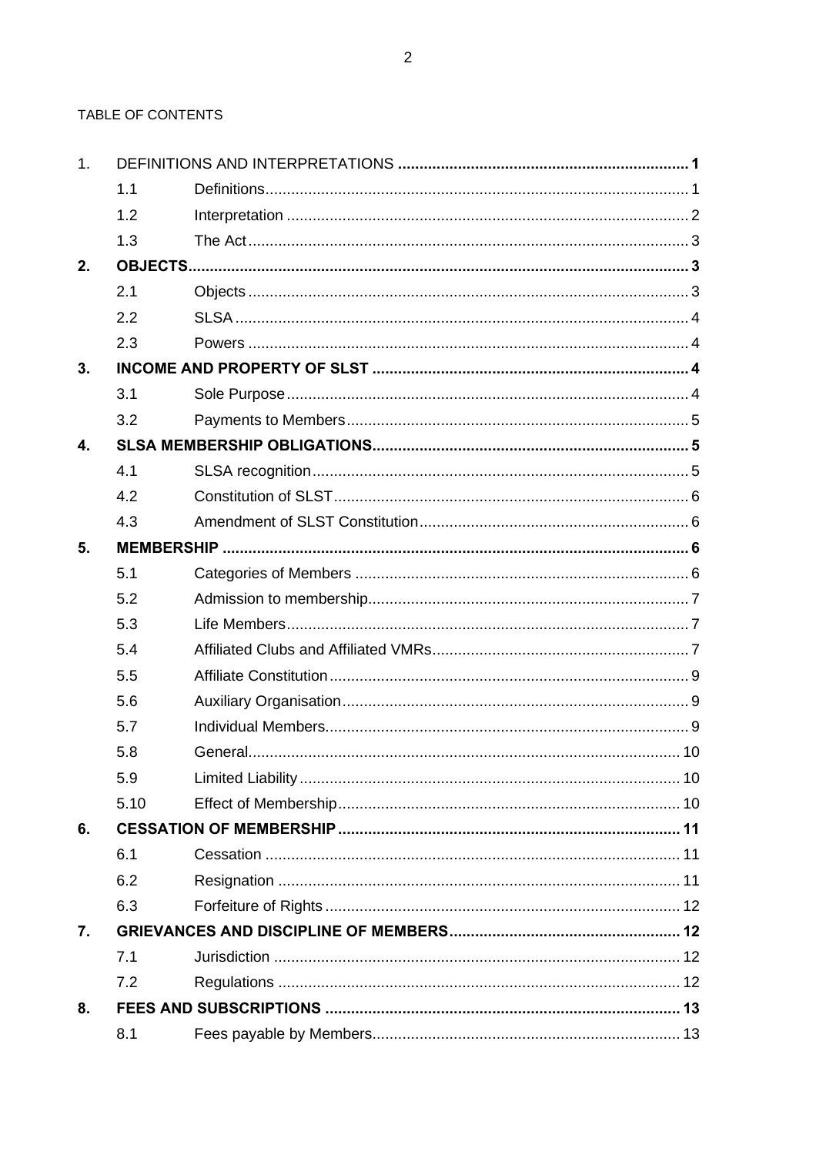TABLE OF CONTENTS

| 1. |      |  |  |
|----|------|--|--|
|    | 1.1  |  |  |
|    | 1.2  |  |  |
|    | 1.3  |  |  |
| 2. |      |  |  |
|    | 2.1  |  |  |
|    | 2.2  |  |  |
|    | 2.3  |  |  |
| 3. |      |  |  |
|    | 3.1  |  |  |
|    | 3.2  |  |  |
| 4. |      |  |  |
|    | 4.1  |  |  |
|    | 4.2  |  |  |
|    | 4.3  |  |  |
| 5. |      |  |  |
|    | 5.1  |  |  |
|    | 5.2  |  |  |
|    | 5.3  |  |  |
|    | 5.4  |  |  |
|    | 5.5  |  |  |
|    | 5.6  |  |  |
|    | 5.7  |  |  |
|    | 5.8  |  |  |
|    | 5.9  |  |  |
|    | 5.10 |  |  |
| 6. |      |  |  |
|    | 6.1  |  |  |
|    | 6.2  |  |  |
|    | 6.3  |  |  |
| 7. |      |  |  |
|    | 7.1  |  |  |
|    | 7.2  |  |  |
| 8. |      |  |  |
|    | 8.1  |  |  |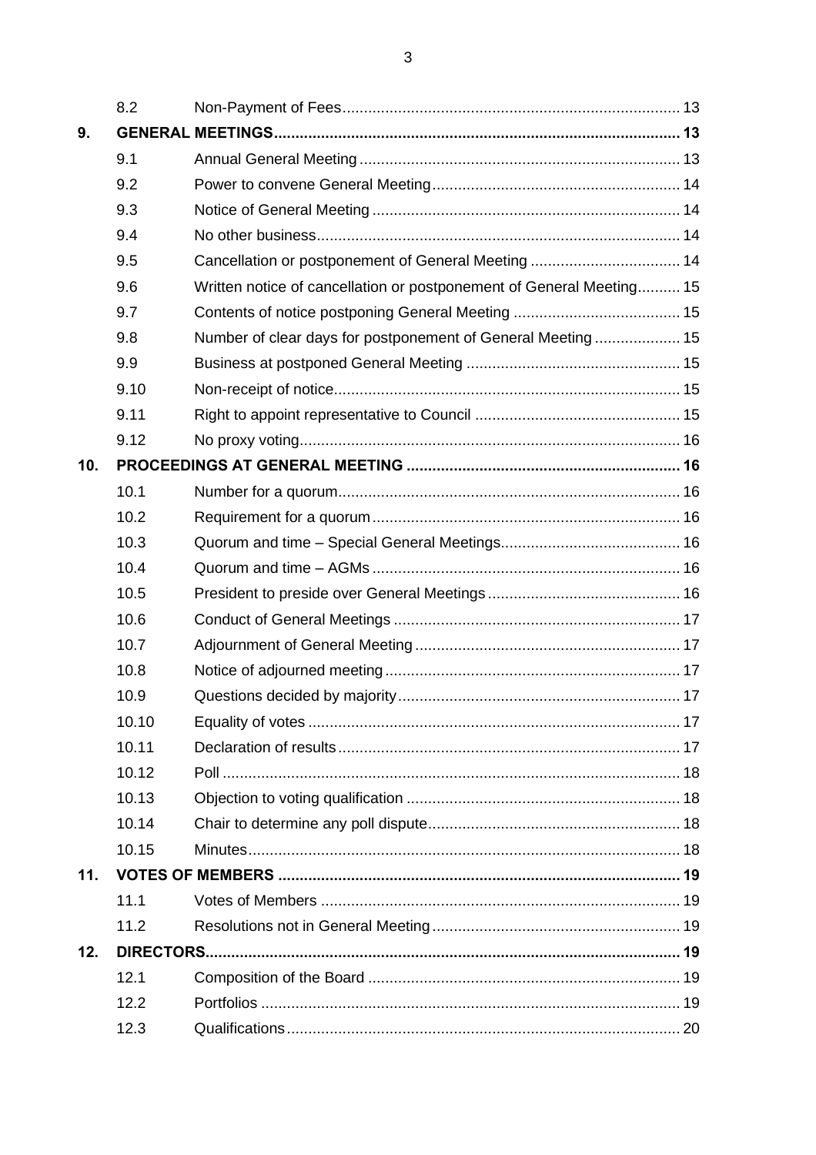|     | 8.2   |                                                                      |  |
|-----|-------|----------------------------------------------------------------------|--|
| 9.  |       |                                                                      |  |
|     | 9.1   |                                                                      |  |
|     | 9.2   |                                                                      |  |
|     | 9.3   |                                                                      |  |
|     | 9.4   |                                                                      |  |
|     | 9.5   |                                                                      |  |
|     | 9.6   | Written notice of cancellation or postponement of General Meeting 15 |  |
|     | 9.7   |                                                                      |  |
|     | 9.8   | Number of clear days for postponement of General Meeting 15          |  |
|     | 9.9   |                                                                      |  |
|     | 9.10  |                                                                      |  |
|     | 9.11  |                                                                      |  |
|     | 9.12  |                                                                      |  |
| 10. |       |                                                                      |  |
|     | 10.1  |                                                                      |  |
|     | 10.2  |                                                                      |  |
|     | 10.3  |                                                                      |  |
|     | 10.4  |                                                                      |  |
|     | 10.5  |                                                                      |  |
|     | 10.6  |                                                                      |  |
|     | 10.7  |                                                                      |  |
|     | 10.8  |                                                                      |  |
|     | 10.9  |                                                                      |  |
|     | 10.10 |                                                                      |  |
|     | 10.11 |                                                                      |  |
|     | 10.12 |                                                                      |  |
|     | 10.13 |                                                                      |  |
|     | 10.14 |                                                                      |  |
|     | 10.15 |                                                                      |  |
| 11. |       |                                                                      |  |
|     | 11.1  |                                                                      |  |
|     | 11.2  |                                                                      |  |
| 12. |       |                                                                      |  |
|     | 12.1  |                                                                      |  |
|     | 12.2  |                                                                      |  |
|     | 12.3  |                                                                      |  |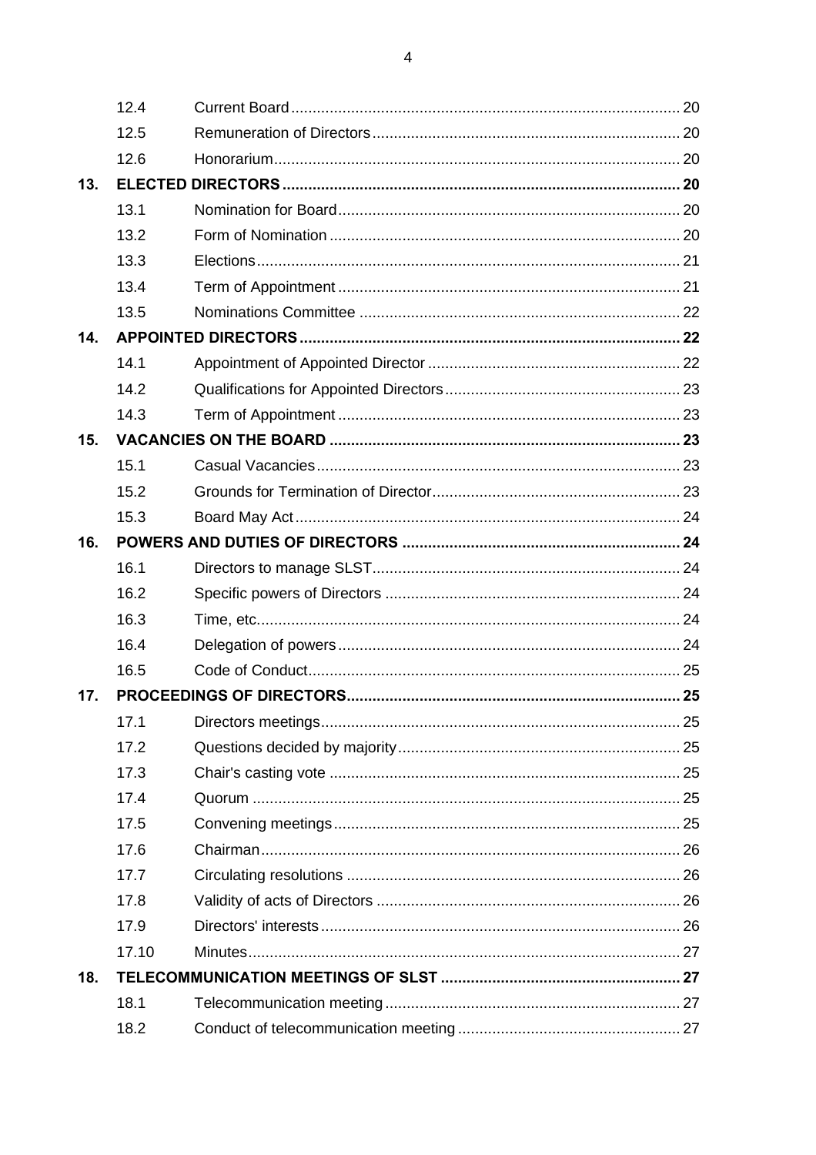|     | 12.4  |  |
|-----|-------|--|
|     | 12.5  |  |
|     | 12.6  |  |
| 13. |       |  |
|     | 13.1  |  |
|     | 13.2  |  |
|     | 13.3  |  |
|     | 13.4  |  |
|     | 13.5  |  |
| 14. |       |  |
|     | 14.1  |  |
|     | 14.2  |  |
|     | 14.3  |  |
| 15. |       |  |
|     | 15.1  |  |
|     | 15.2  |  |
|     | 15.3  |  |
| 16. |       |  |
|     | 16.1  |  |
|     | 16.2  |  |
|     | 16.3  |  |
|     | 16.4  |  |
|     | 16.5  |  |
| 17. |       |  |
|     | 17.1  |  |
|     | 17.2  |  |
|     | 17.3  |  |
|     | 17.4  |  |
|     | 17.5  |  |
|     | 17.6  |  |
|     | 17.7  |  |
|     | 17.8  |  |
|     | 17.9  |  |
|     | 17.10 |  |
| 18. |       |  |
|     | 18.1  |  |
|     | 18.2  |  |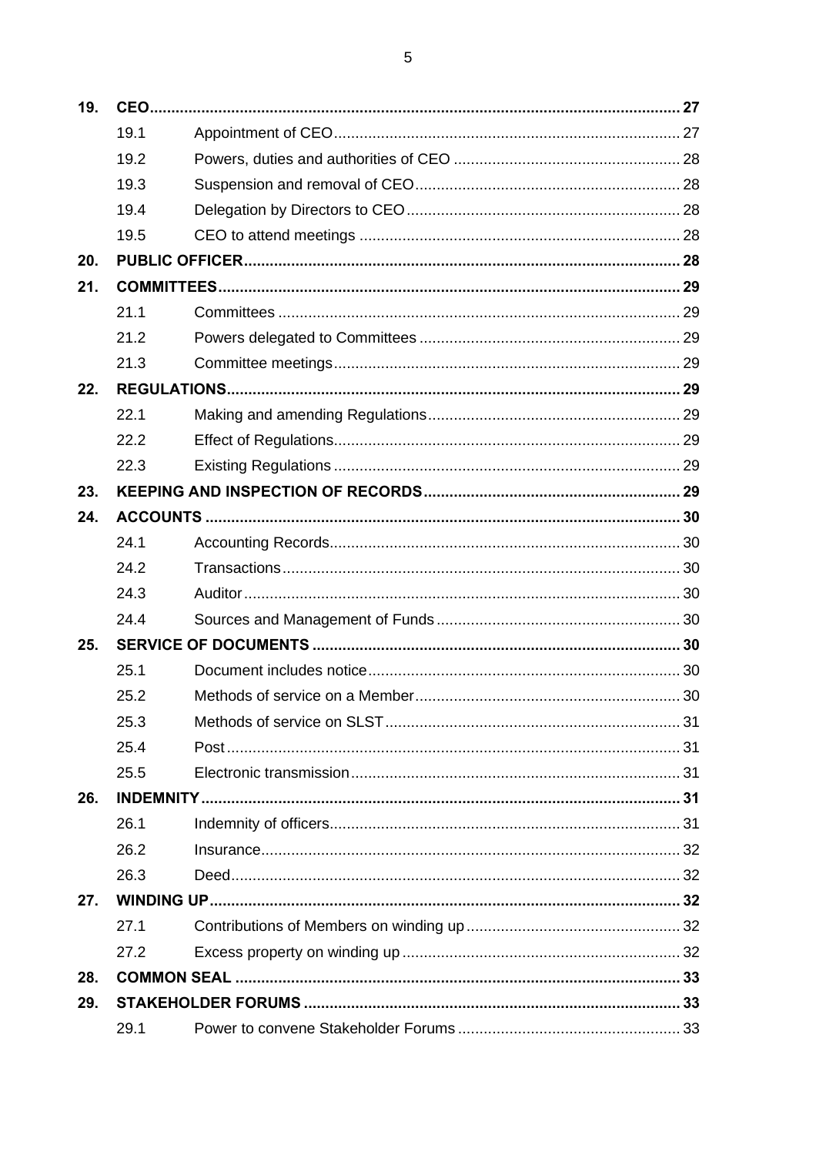| 19. |      |  |  |
|-----|------|--|--|
|     | 19.1 |  |  |
|     | 19.2 |  |  |
|     | 19.3 |  |  |
|     | 19.4 |  |  |
|     | 19.5 |  |  |
| 20. |      |  |  |
| 21. |      |  |  |
|     | 21.1 |  |  |
|     | 21.2 |  |  |
|     | 21.3 |  |  |
| 22. |      |  |  |
|     | 22.1 |  |  |
|     | 22.2 |  |  |
|     | 22.3 |  |  |
| 23. |      |  |  |
| 24. |      |  |  |
|     | 24.1 |  |  |
|     | 24.2 |  |  |
|     | 24.3 |  |  |
|     | 24.4 |  |  |
| 25. |      |  |  |
|     | 25.1 |  |  |
|     | 25.2 |  |  |
|     | 25.3 |  |  |
|     | 25.4 |  |  |
|     | 25.5 |  |  |
| 26. |      |  |  |
|     | 26.1 |  |  |
|     | 26.2 |  |  |
|     | 26.3 |  |  |
| 27. |      |  |  |
|     | 27.1 |  |  |
|     | 27.2 |  |  |
| 28. |      |  |  |
| 29. |      |  |  |
|     | 29.1 |  |  |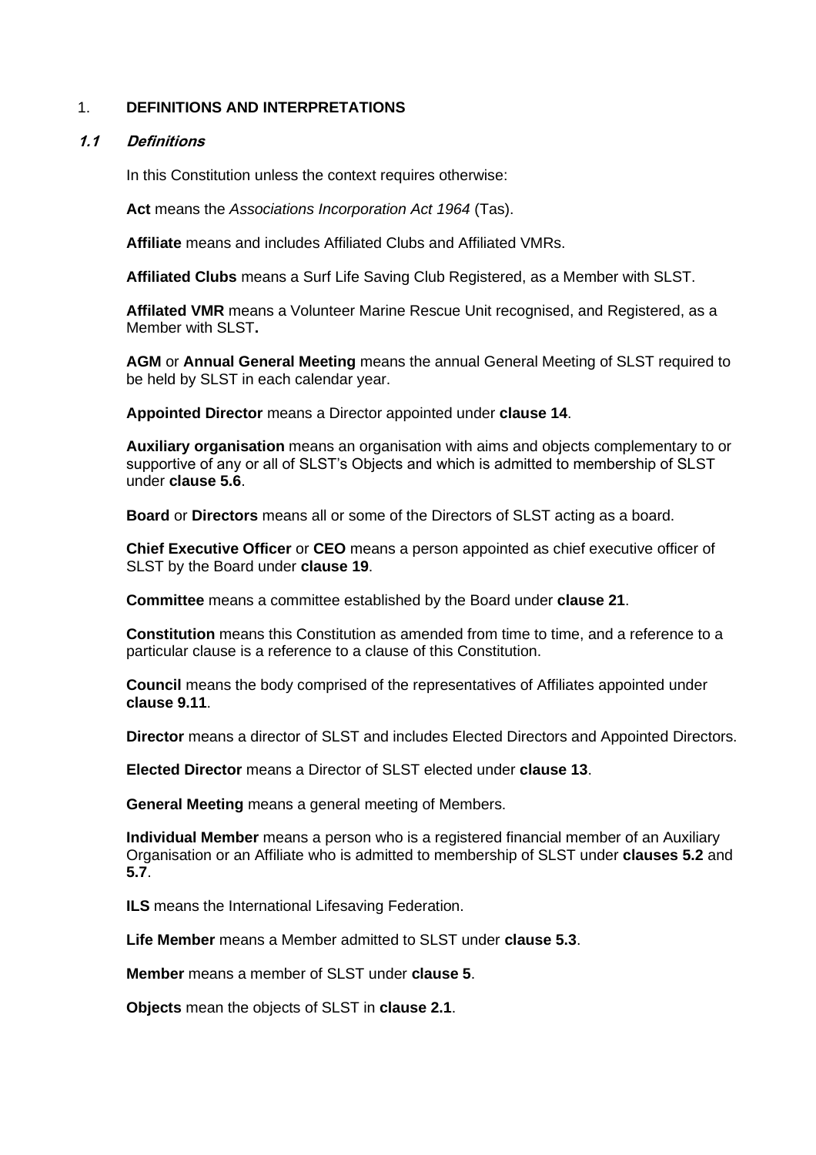#### 1. **DEFINITIONS AND INTERPRETATIONS**

#### **1.1 Definitions**

In this Constitution unless the context requires otherwise:

**Act** means the *Associations Incorporation Act 1964* (Tas).

**Affiliate** means and includes Affiliated Clubs and Affiliated VMRs.

**Affiliated Clubs** means a Surf Life Saving Club Registered, as a Member with SLST.

**Affilated VMR** means a Volunteer Marine Rescue Unit recognised, and Registered, as a Member with SLST**.**

**AGM** or **Annual General Meeting** means the annual General Meeting of SLST required to be held by SLST in each calendar year.

**Appointed Director** means a Director appointed under **clause 14**.

**Auxiliary organisation** means an organisation with aims and objects complementary to or supportive of any or all of SLST's Objects and which is admitted to membership of SLST under **clause 5.6**.

**Board** or **Directors** means all or some of the Directors of SLST acting as a board.

**Chief Executive Officer** or **CEO** means a person appointed as chief executive officer of SLST by the Board under **clause 19**.

**Committee** means a committee established by the Board under **clause 21**.

**Constitution** means this Constitution as amended from time to time, and a reference to a particular clause is a reference to a clause of this Constitution.

**Council** means the body comprised of the representatives of Affiliates appointed under **clause 9.11**.

**Director** means a director of SLST and includes Elected Directors and Appointed Directors.

**Elected Director** means a Director of SLST elected under **clause 13**.

**General Meeting** means a general meeting of Members.

**Individual Member** means a person who is a registered financial member of an Auxiliary Organisation or an Affiliate who is admitted to membership of SLST under **clauses 5.2** and **5.7**.

**ILS** means the International Lifesaving Federation.

**Life Member** means a Member admitted to SLST under **clause 5.3**.

**Member** means a member of SLST under **clause 5**.

**Objects** mean the objects of SLST in **clause 2.1**.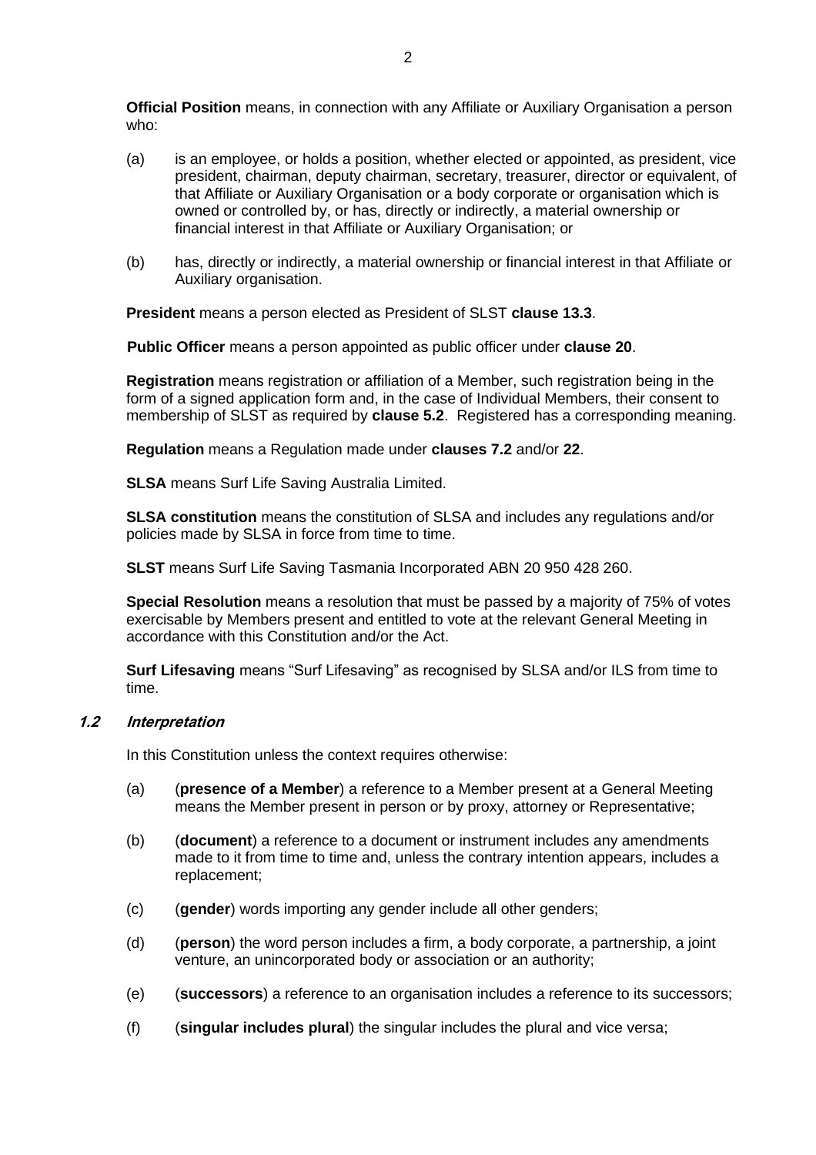**Official Position** means, in connection with any Affiliate or Auxiliary Organisation a person who:

- (a) is an employee, or holds a position, whether elected or appointed, as president, vice president, chairman, deputy chairman, secretary, treasurer, director or equivalent, of that Affiliate or Auxiliary Organisation or a body corporate or organisation which is owned or controlled by, or has, directly or indirectly, a material ownership or financial interest in that Affiliate or Auxiliary Organisation; or
- (b) has, directly or indirectly, a material ownership or financial interest in that Affiliate or Auxiliary organisation.

**President** means a person elected as President of SLST **clause 13.3**.

**Public Officer** means a person appointed as public officer under **clause 20**.

**Registration** means registration or affiliation of a Member, such registration being in the form of a signed application form and, in the case of Individual Members, their consent to membership of SLST as required by **clause 5.2**. Registered has a corresponding meaning.

**Regulation** means a Regulation made under **clauses 7.2** and/or **22**.

**SLSA** means Surf Life Saving Australia Limited.

**SLSA constitution** means the constitution of SLSA and includes any regulations and/or policies made by SLSA in force from time to time.

**SLST** means Surf Life Saving Tasmania Incorporated ABN 20 950 428 260.

**Special Resolution** means a resolution that must be passed by a majority of 75% of votes exercisable by Members present and entitled to vote at the relevant General Meeting in accordance with this Constitution and/or the Act.

**Surf Lifesaving** means "Surf Lifesaving" as recognised by SLSA and/or ILS from time to time.

#### **1.2 Interpretation**

In this Constitution unless the context requires otherwise:

- (a) (**presence of a Member**) a reference to a Member present at a General Meeting means the Member present in person or by proxy, attorney or Representative;
- (b) (**document**) a reference to a document or instrument includes any amendments made to it from time to time and, unless the contrary intention appears, includes a replacement;
- (c) (**gender**) words importing any gender include all other genders;
- (d) (**person**) the word person includes a firm, a body corporate, a partnership, a joint venture, an unincorporated body or association or an authority;
- (e) (**successors**) a reference to an organisation includes a reference to its successors;
- (f) (**singular includes plural**) the singular includes the plural and vice versa;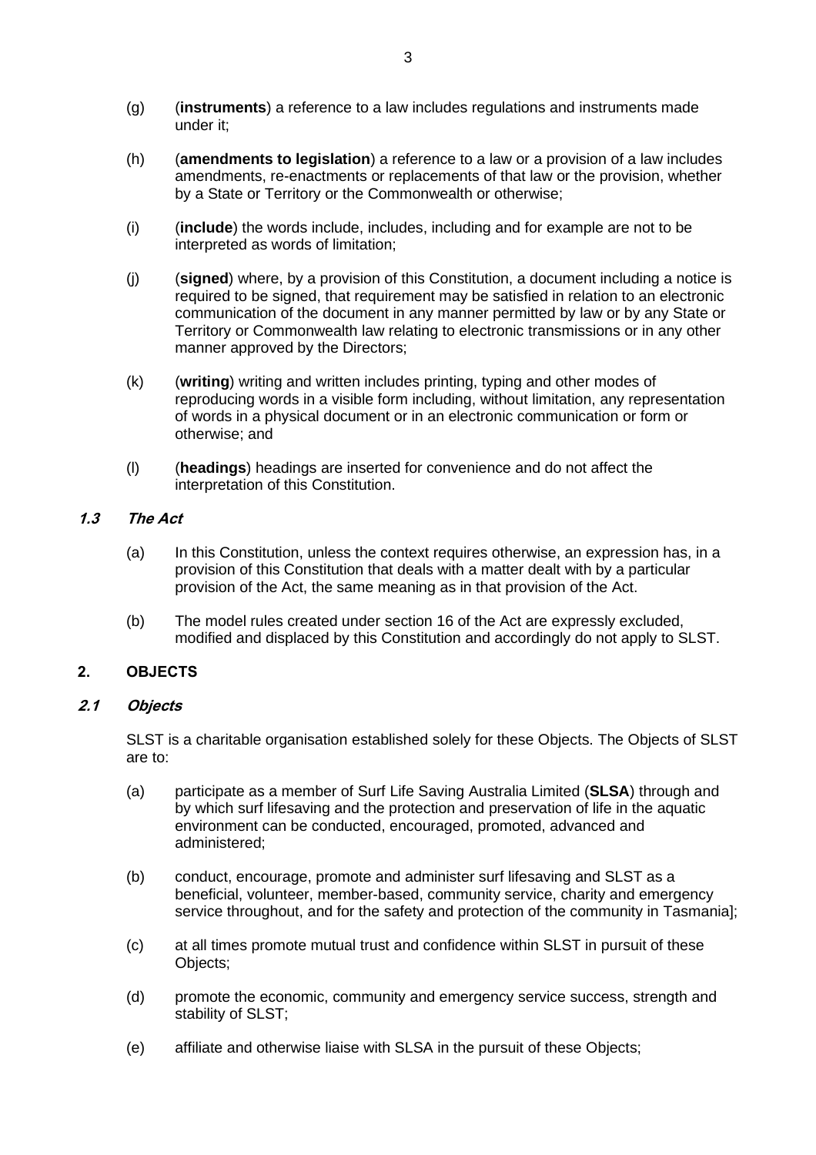- (g) (**instruments**) a reference to a law includes regulations and instruments made under it;
- (h) (**amendments to legislation**) a reference to a law or a provision of a law includes amendments, re-enactments or replacements of that law or the provision, whether by a State or Territory or the Commonwealth or otherwise;
- (i) (**include**) the words include, includes, including and for example are not to be interpreted as words of limitation;
- (j) (**signed**) where, by a provision of this Constitution, a document including a notice is required to be signed, that requirement may be satisfied in relation to an electronic communication of the document in any manner permitted by law or by any State or Territory or Commonwealth law relating to electronic transmissions or in any other manner approved by the Directors;
- (k) (**writing**) writing and written includes printing, typing and other modes of reproducing words in a visible form including, without limitation, any representation of words in a physical document or in an electronic communication or form or otherwise; and
- (l) (**headings**) headings are inserted for convenience and do not affect the interpretation of this Constitution.

# **1.3 The Act**

- (a) In this Constitution, unless the context requires otherwise, an expression has, in a provision of this Constitution that deals with a matter dealt with by a particular provision of the Act, the same meaning as in that provision of the Act.
- (b) The model rules created under section 16 of the Act are expressly excluded, modified and displaced by this Constitution and accordingly do not apply to SLST.

# **2. OBJECTS**

# **2.1 Objects**

SLST is a charitable organisation established solely for these Objects. The Objects of SLST are to:

- (a) participate as a member of Surf Life Saving Australia Limited (**SLSA**) through and by which surf lifesaving and the protection and preservation of life in the aquatic environment can be conducted, encouraged, promoted, advanced and administered;
- (b) conduct, encourage, promote and administer surf lifesaving and SLST as a beneficial, volunteer, member-based, community service, charity and emergency service throughout, and for the safety and protection of the community in Tasmania];
- (c) at all times promote mutual trust and confidence within SLST in pursuit of these Objects;
- (d) promote the economic, community and emergency service success, strength and stability of SLST;
- (e) affiliate and otherwise liaise with SLSA in the pursuit of these Objects;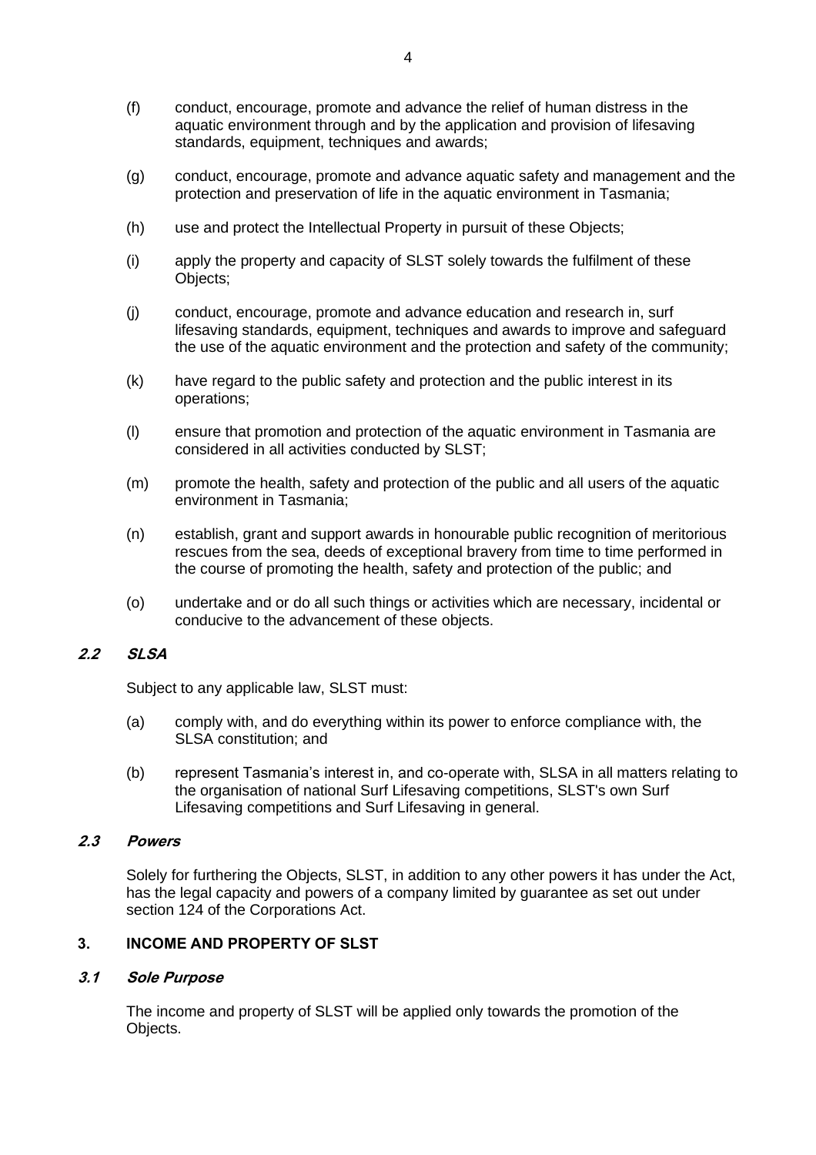- (f) conduct, encourage, promote and advance the relief of human distress in the aquatic environment through and by the application and provision of lifesaving standards, equipment, techniques and awards;
- (g) conduct, encourage, promote and advance aquatic safety and management and the protection and preservation of life in the aquatic environment in Tasmania;
- (h) use and protect the Intellectual Property in pursuit of these Objects;
- (i) apply the property and capacity of SLST solely towards the fulfilment of these Objects;
- (j) conduct, encourage, promote and advance education and research in, surf lifesaving standards, equipment, techniques and awards to improve and safeguard the use of the aquatic environment and the protection and safety of the community;
- (k) have regard to the public safety and protection and the public interest in its operations;
- (l) ensure that promotion and protection of the aquatic environment in Tasmania are considered in all activities conducted by SLST;
- (m) promote the health, safety and protection of the public and all users of the aquatic environment in Tasmania;
- (n) establish, grant and support awards in honourable public recognition of meritorious rescues from the sea, deeds of exceptional bravery from time to time performed in the course of promoting the health, safety and protection of the public; and
- (o) undertake and or do all such things or activities which are necessary, incidental or conducive to the advancement of these objects.

# **2.2 SLSA**

Subject to any applicable law, SLST must:

- (a) comply with, and do everything within its power to enforce compliance with, the SLSA constitution; and
- (b) represent Tasmania's interest in, and co-operate with, SLSA in all matters relating to the organisation of national Surf Lifesaving competitions, SLST's own Surf Lifesaving competitions and Surf Lifesaving in general.

# **2.3 Powers**

Solely for furthering the Objects, SLST, in addition to any other powers it has under the Act, has the legal capacity and powers of a company limited by guarantee as set out under section 124 of the Corporations Act.

# **3. INCOME AND PROPERTY OF SLST**

#### **3.1 Sole Purpose**

The income and property of SLST will be applied only towards the promotion of the Objects.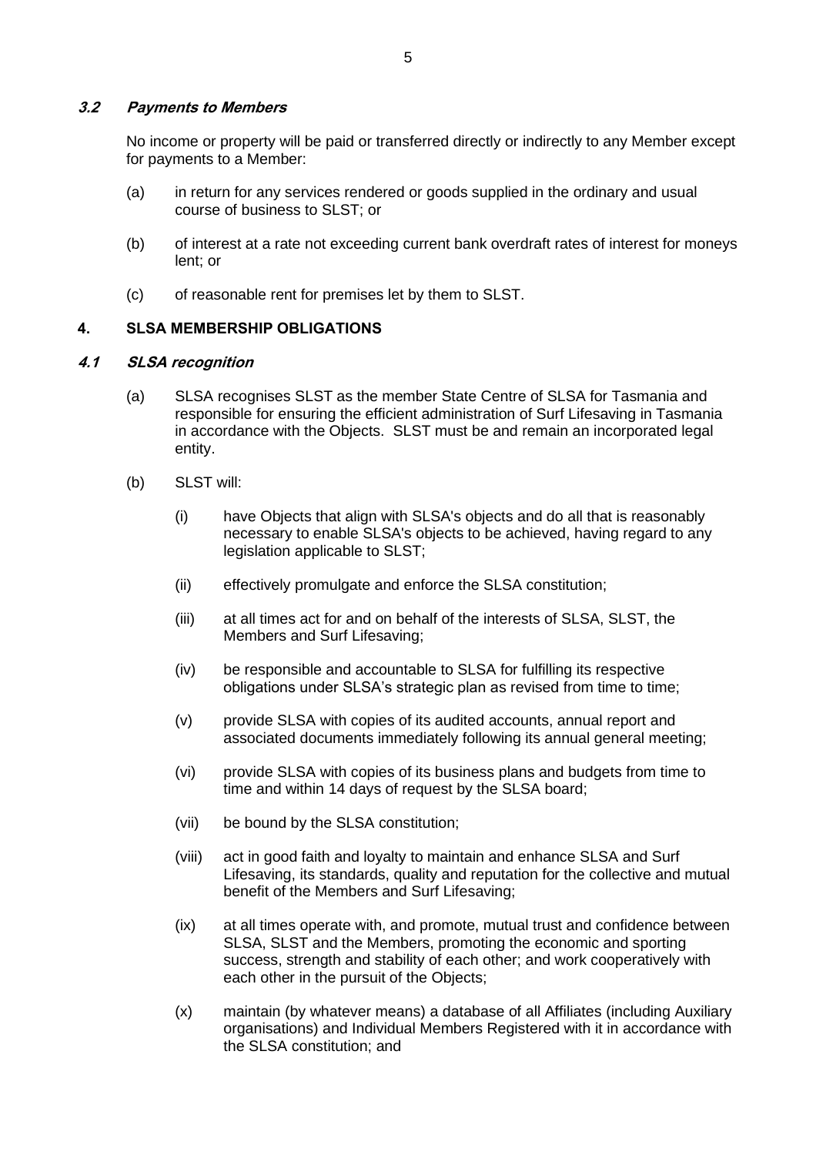#### **3.2 Payments to Members**

No income or property will be paid or transferred directly or indirectly to any Member except for payments to a Member:

- (a) in return for any services rendered or goods supplied in the ordinary and usual course of business to SLST; or
- (b) of interest at a rate not exceeding current bank overdraft rates of interest for moneys lent; or
- (c) of reasonable rent for premises let by them to SLST.

#### **4. SLSA MEMBERSHIP OBLIGATIONS**

#### **4.1 SLSA recognition**

- (a) SLSA recognises SLST as the member State Centre of SLSA for Tasmania and responsible for ensuring the efficient administration of Surf Lifesaving in Tasmania in accordance with the Objects. SLST must be and remain an incorporated legal entity.
- (b) SLST will:
	- (i) have Objects that align with SLSA's objects and do all that is reasonably necessary to enable SLSA's objects to be achieved, having regard to any legislation applicable to SLST;
	- (ii) effectively promulgate and enforce the SLSA constitution;
	- (iii) at all times act for and on behalf of the interests of SLSA, SLST, the Members and Surf Lifesaving;
	- (iv) be responsible and accountable to SLSA for fulfilling its respective obligations under SLSA's strategic plan as revised from time to time;
	- (v) provide SLSA with copies of its audited accounts, annual report and associated documents immediately following its annual general meeting;
	- (vi) provide SLSA with copies of its business plans and budgets from time to time and within 14 days of request by the SLSA board;
	- (vii) be bound by the SLSA constitution;
	- (viii) act in good faith and loyalty to maintain and enhance SLSA and Surf Lifesaving, its standards, quality and reputation for the collective and mutual benefit of the Members and Surf Lifesaving;
	- (ix) at all times operate with, and promote, mutual trust and confidence between SLSA, SLST and the Members, promoting the economic and sporting success, strength and stability of each other; and work cooperatively with each other in the pursuit of the Objects;
	- (x) maintain (by whatever means) a database of all Affiliates (including Auxiliary organisations) and Individual Members Registered with it in accordance with the SLSA constitution; and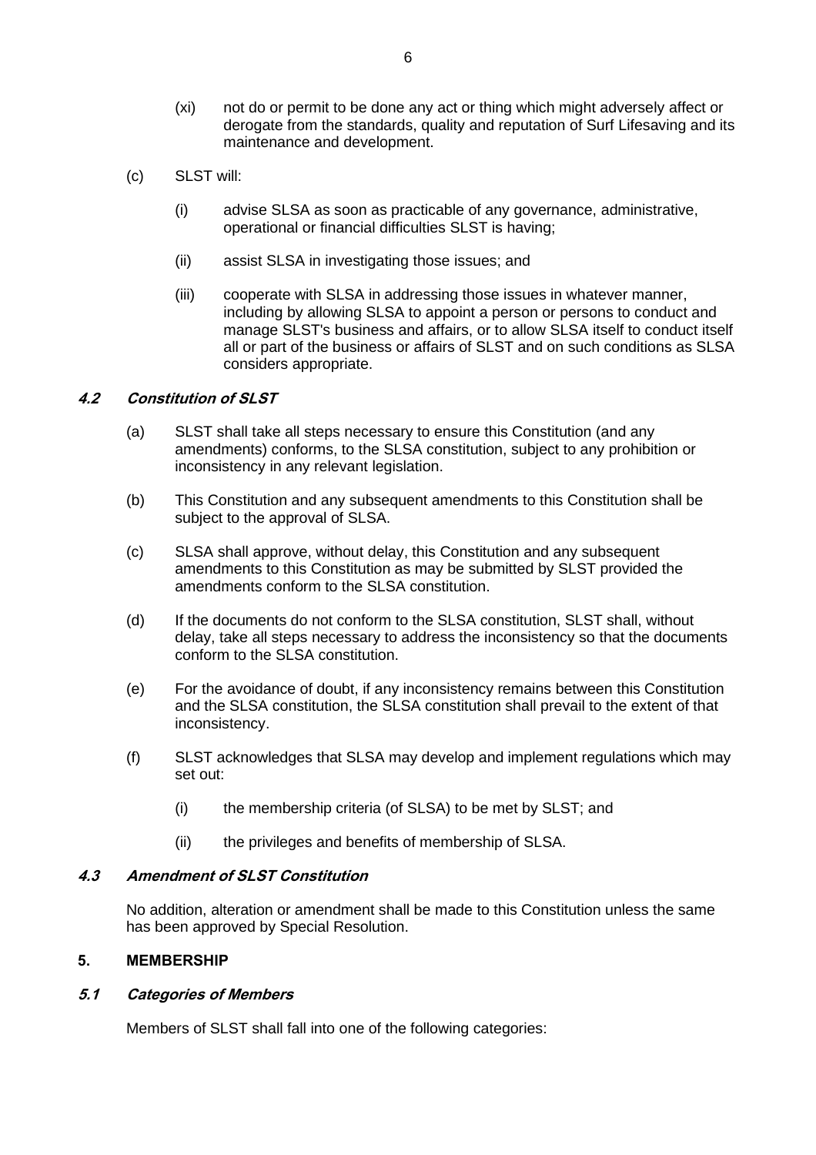- (xi) not do or permit to be done any act or thing which might adversely affect or derogate from the standards, quality and reputation of Surf Lifesaving and its maintenance and development.
- (c) SLST will:
	- (i) advise SLSA as soon as practicable of any governance, administrative, operational or financial difficulties SLST is having;
	- (ii) assist SLSA in investigating those issues; and
	- (iii) cooperate with SLSA in addressing those issues in whatever manner, including by allowing SLSA to appoint a person or persons to conduct and manage SLST's business and affairs, or to allow SLSA itself to conduct itself all or part of the business or affairs of SLST and on such conditions as SLSA considers appropriate.

# **4.2 Constitution of SLST**

- (a) SLST shall take all steps necessary to ensure this Constitution (and any amendments) conforms, to the SLSA constitution, subject to any prohibition or inconsistency in any relevant legislation.
- (b) This Constitution and any subsequent amendments to this Constitution shall be subject to the approval of SLSA.
- (c) SLSA shall approve, without delay, this Constitution and any subsequent amendments to this Constitution as may be submitted by SLST provided the amendments conform to the SLSA constitution.
- (d) If the documents do not conform to the SLSA constitution, SLST shall, without delay, take all steps necessary to address the inconsistency so that the documents conform to the SLSA constitution.
- (e) For the avoidance of doubt, if any inconsistency remains between this Constitution and the SLSA constitution, the SLSA constitution shall prevail to the extent of that inconsistency.
- (f) SLST acknowledges that SLSA may develop and implement regulations which may set out:
	- (i) the membership criteria (of SLSA) to be met by SLST; and
	- (ii) the privileges and benefits of membership of SLSA.

# **4.3 Amendment of SLST Constitution**

No addition, alteration or amendment shall be made to this Constitution unless the same has been approved by Special Resolution.

# **5. MEMBERSHIP**

# **5.1 Categories of Members**

Members of SLST shall fall into one of the following categories: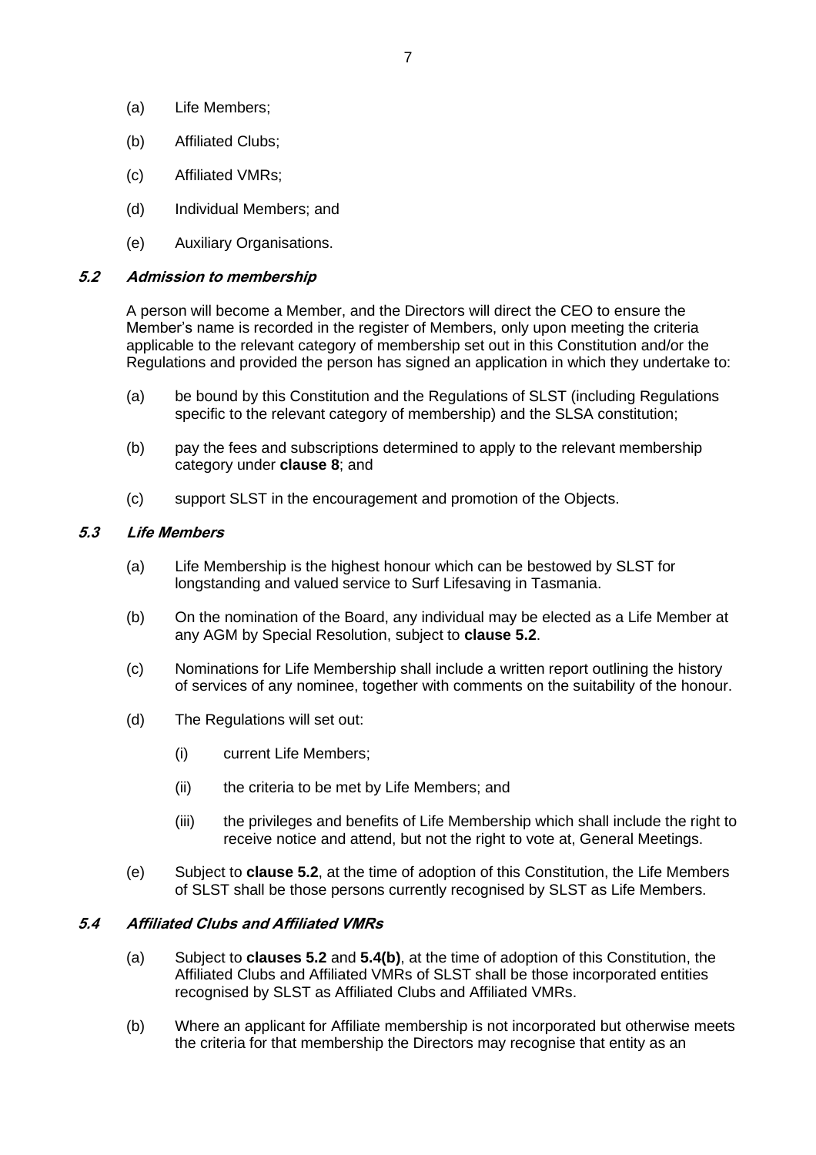- (a) Life Members;
- (b) Affiliated Clubs;
- (c) Affiliated VMRs;
- (d) Individual Members; and
- (e) Auxiliary Organisations.

#### <span id="page-12-0"></span>**5.2 Admission to membership**

A person will become a Member, and the Directors will direct the CEO to ensure the Member's name is recorded in the register of Members, only upon meeting the criteria applicable to the relevant category of membership set out in this Constitution and/or the Regulations and provided the person has signed an application in which they undertake to:

- (a) be bound by this Constitution and the Regulations of SLST (including Regulations specific to the relevant category of membership) and the SLSA constitution;
- (b) pay the fees and subscriptions determined to apply to the relevant membership category under **clause [8](#page-18-0)**; and
- (c) support SLST in the encouragement and promotion of the Objects.

# **5.3 Life Members**

- (a) Life Membership is the highest honour which can be bestowed by SLST for longstanding and valued service to Surf Lifesaving in Tasmania.
- (b) On the nomination of the Board, any individual may be elected as a Life Member at any AGM by Special Resolution, subject to **clause [5.2](#page-12-0)**.
- (c) Nominations for Life Membership shall include a written report outlining the history of services of any nominee, together with comments on the suitability of the honour.
- (d) The Regulations will set out:
	- (i) current Life Members;
	- (ii) the criteria to be met by Life Members; and
	- (iii) the privileges and benefits of Life Membership which shall include the right to receive notice and attend, but not the right to vote at, General Meetings.
- (e) Subject to **clause [5.2](#page-12-0)**, at the time of adoption of this Constitution, the Life Members of SLST shall be those persons currently recognised by SLST as Life Members.

# **5.4 Affiliated Clubs and Affiliated VMRs**

- (a) Subject to **clauses [5.2](#page-12-0)** and **[5.4\(b\)](#page-12-1)**, at the time of adoption of this Constitution, the Affiliated Clubs and Affiliated VMRs of SLST shall be those incorporated entities recognised by SLST as Affiliated Clubs and Affiliated VMRs.
- <span id="page-12-1"></span>(b) Where an applicant for Affiliate membership is not incorporated but otherwise meets the criteria for that membership the Directors may recognise that entity as an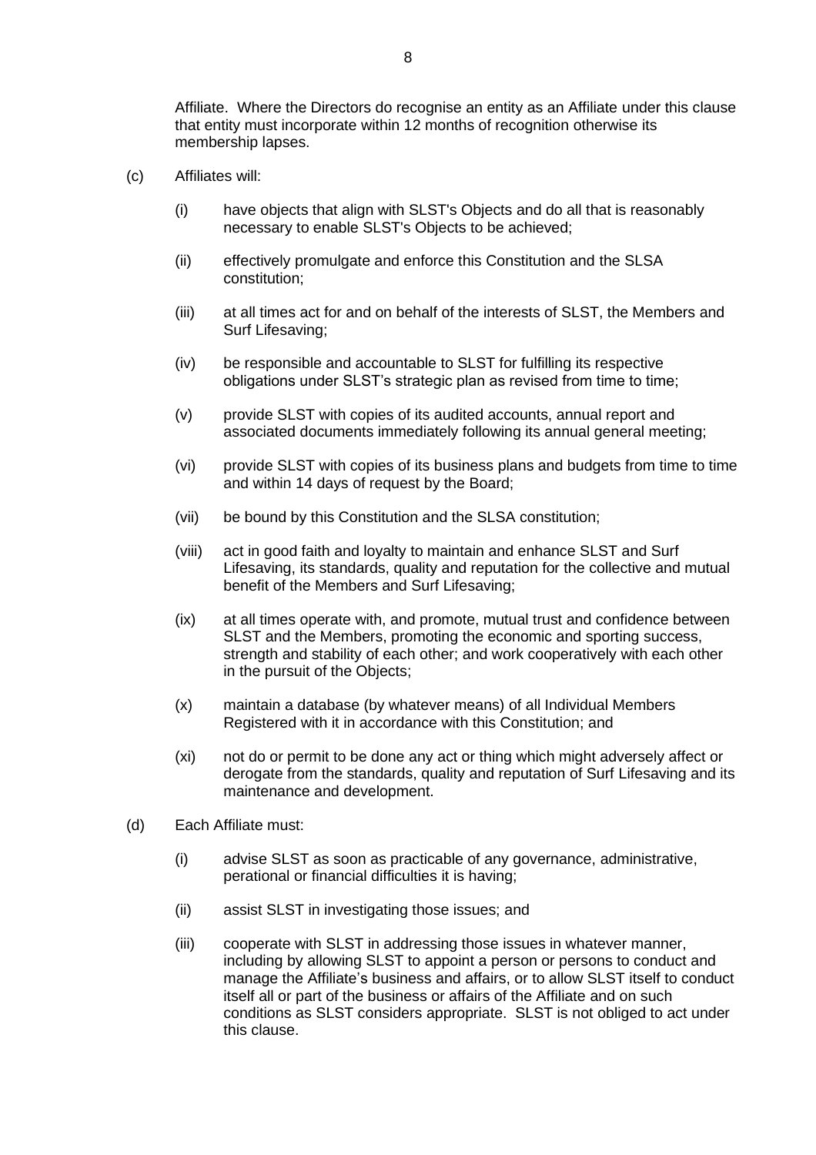Affiliate. Where the Directors do recognise an entity as an Affiliate under this clause that entity must incorporate within 12 months of recognition otherwise its membership lapses.

- (c) Affiliates will:
	- (i) have objects that align with SLST's Objects and do all that is reasonably necessary to enable SLST's Objects to be achieved;
	- (ii) effectively promulgate and enforce this Constitution and the SLSA constitution;
	- (iii) at all times act for and on behalf of the interests of SLST, the Members and Surf Lifesaving;
	- (iv) be responsible and accountable to SLST for fulfilling its respective obligations under SLST's strategic plan as revised from time to time;
	- (v) provide SLST with copies of its audited accounts, annual report and associated documents immediately following its annual general meeting;
	- (vi) provide SLST with copies of its business plans and budgets from time to time and within 14 days of request by the Board;
	- (vii) be bound by this Constitution and the SLSA constitution;
	- (viii) act in good faith and loyalty to maintain and enhance SLST and Surf Lifesaving, its standards, quality and reputation for the collective and mutual benefit of the Members and Surf Lifesaving;
	- (ix) at all times operate with, and promote, mutual trust and confidence between SLST and the Members, promoting the economic and sporting success, strength and stability of each other; and work cooperatively with each other in the pursuit of the Objects;
	- (x) maintain a database (by whatever means) of all Individual Members Registered with it in accordance with this Constitution; and
	- (xi) not do or permit to be done any act or thing which might adversely affect or derogate from the standards, quality and reputation of Surf Lifesaving and its maintenance and development.
- (d) Each Affiliate must:
	- (i) advise SLST as soon as practicable of any governance, administrative, perational or financial difficulties it is having;
	- (ii) assist SLST in investigating those issues; and
	- (iii) cooperate with SLST in addressing those issues in whatever manner, including by allowing SLST to appoint a person or persons to conduct and manage the Affiliate's business and affairs, or to allow SLST itself to conduct itself all or part of the business or affairs of the Affiliate and on such conditions as SLST considers appropriate. SLST is not obliged to act under this clause.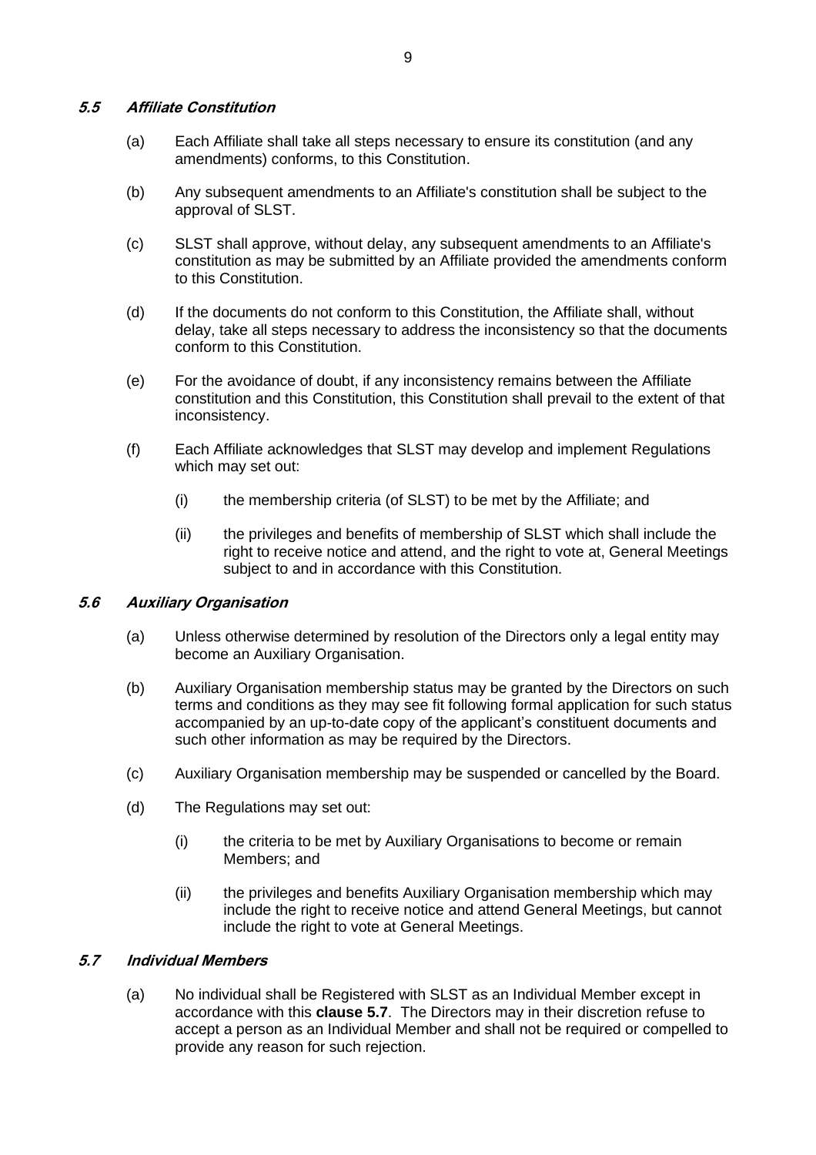#### **5.5 Affiliate Constitution**

- (a) Each Affiliate shall take all steps necessary to ensure its constitution (and any amendments) conforms, to this Constitution.
- (b) Any subsequent amendments to an Affiliate's constitution shall be subject to the approval of SLST.
- (c) SLST shall approve, without delay, any subsequent amendments to an Affiliate's constitution as may be submitted by an Affiliate provided the amendments conform to this Constitution.
- (d) If the documents do not conform to this Constitution, the Affiliate shall, without delay, take all steps necessary to address the inconsistency so that the documents conform to this Constitution.
- (e) For the avoidance of doubt, if any inconsistency remains between the Affiliate constitution and this Constitution, this Constitution shall prevail to the extent of that inconsistency.
- (f) Each Affiliate acknowledges that SLST may develop and implement Regulations which may set out:
	- (i) the membership criteria (of SLST) to be met by the Affiliate; and
	- (ii) the privileges and benefits of membership of SLST which shall include the right to receive notice and attend, and the right to vote at, General Meetings subject to and in accordance with this Constitution.

#### **5.6 Auxiliary Organisation**

- (a) Unless otherwise determined by resolution of the Directors only a legal entity may become an Auxiliary Organisation.
- (b) Auxiliary Organisation membership status may be granted by the Directors on such terms and conditions as they may see fit following formal application for such status accompanied by an up-to-date copy of the applicant's constituent documents and such other information as may be required by the Directors.
- (c) Auxiliary Organisation membership may be suspended or cancelled by the Board.
- (d) The Regulations may set out:
	- (i) the criteria to be met by Auxiliary Organisations to become or remain Members; and
	- (ii) the privileges and benefits Auxiliary Organisation membership which may include the right to receive notice and attend General Meetings, but cannot include the right to vote at General Meetings.

# <span id="page-14-1"></span><span id="page-14-0"></span>**5.7 Individual Members**

(a) No individual shall be Registered with SLST as an Individual Member except in accordance with this **clause [5.7](#page-14-0)**. The Directors may in their discretion refuse to accept a person as an Individual Member and shall not be required or compelled to provide any reason for such rejection.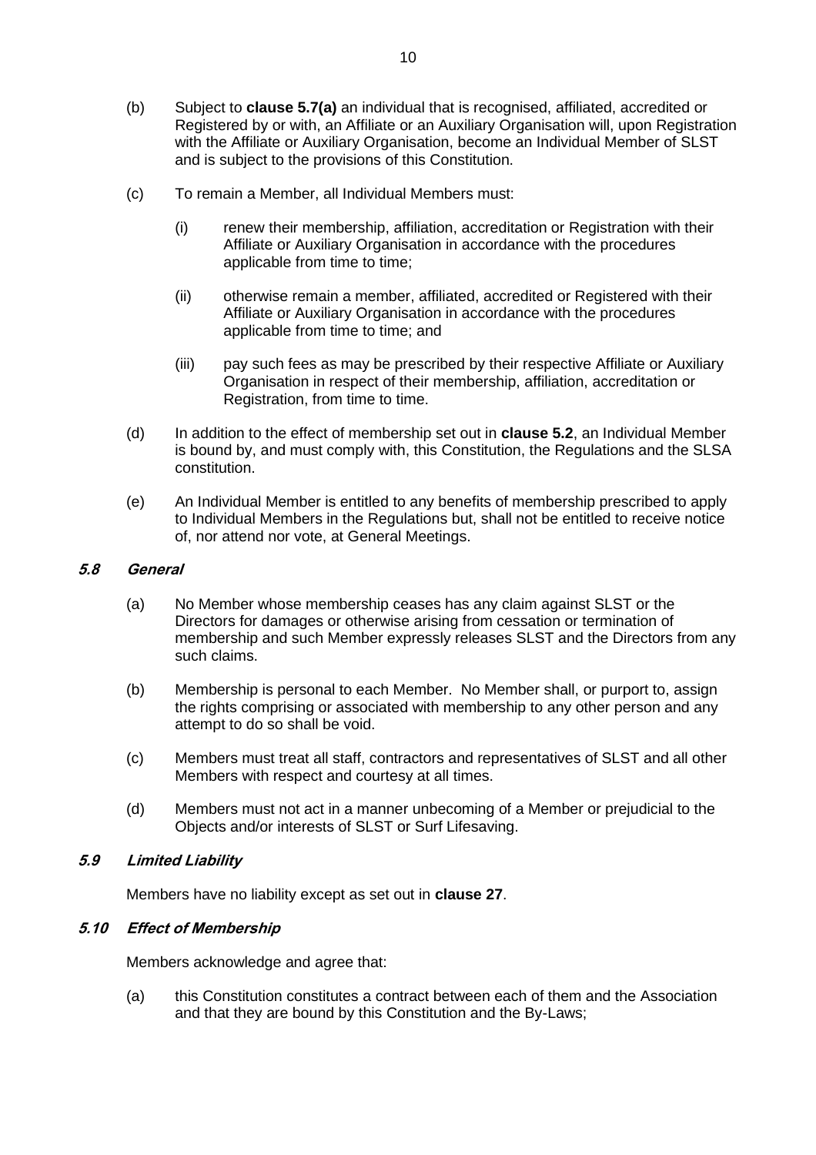- (b) Subject to **clause [5.7\(a\)](#page-14-1)** an individual that is recognised, affiliated, accredited or Registered by or with, an Affiliate or an Auxiliary Organisation will, upon Registration with the Affiliate or Auxiliary Organisation, become an Individual Member of SLST and is subject to the provisions of this Constitution.
- (c) To remain a Member, all Individual Members must:
	- (i) renew their membership, affiliation, accreditation or Registration with their Affiliate or Auxiliary Organisation in accordance with the procedures applicable from time to time;
	- (ii) otherwise remain a member, affiliated, accredited or Registered with their Affiliate or Auxiliary Organisation in accordance with the procedures applicable from time to time; and
	- (iii) pay such fees as may be prescribed by their respective Affiliate or Auxiliary Organisation in respect of their membership, affiliation, accreditation or Registration, from time to time.
- (d) In addition to the effect of membership set out in **clause [5.2](#page-12-0)**, an Individual Member is bound by, and must comply with, this Constitution, the Regulations and the SLSA constitution.
- (e) An Individual Member is entitled to any benefits of membership prescribed to apply to Individual Members in the Regulations but, shall not be entitled to receive notice of, nor attend nor vote, at General Meetings.

#### **5.8 General**

- (a) No Member whose membership ceases has any claim against SLST or the Directors for damages or otherwise arising from cessation or termination of membership and such Member expressly releases SLST and the Directors from any such claims.
- (b) Membership is personal to each Member. No Member shall, or purport to, assign the rights comprising or associated with membership to any other person and any attempt to do so shall be void.
- (c) Members must treat all staff, contractors and representatives of SLST and all other Members with respect and courtesy at all times.
- (d) Members must not act in a manner unbecoming of a Member or prejudicial to the Objects and/or interests of SLST or Surf Lifesaving.

# **5.9 Limited Liability**

Members have no liability except as set out in **clause [27](#page-37-0)**.

# **5.10 Effect of Membership**

Members acknowledge and agree that:

(a) this Constitution constitutes a contract between each of them and the Association and that they are bound by this Constitution and the By-Laws;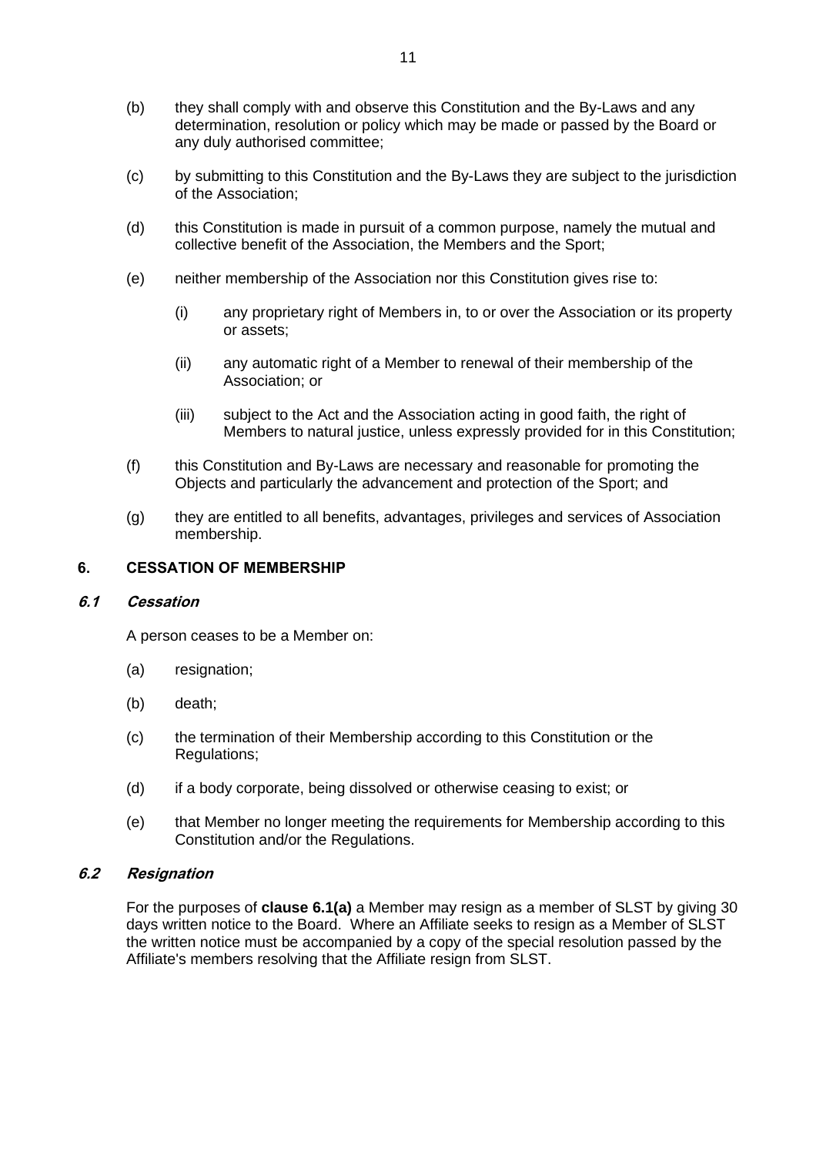- (b) they shall comply with and observe this Constitution and the By-Laws and any determination, resolution or policy which may be made or passed by the Board or any duly authorised committee;
- (c) by submitting to this Constitution and the By-Laws they are subject to the jurisdiction of the Association;
- (d) this Constitution is made in pursuit of a common purpose, namely the mutual and collective benefit of the Association, the Members and the Sport;
- (e) neither membership of the Association nor this Constitution gives rise to:
	- (i) any proprietary right of Members in, to or over the Association or its property or assets;
	- (ii) any automatic right of a Member to renewal of their membership of the Association; or
	- (iii) subject to the Act and the Association acting in good faith, the right of Members to natural justice, unless expressly provided for in this Constitution;
- (f) this Constitution and By-Laws are necessary and reasonable for promoting the Objects and particularly the advancement and protection of the Sport; and
- (g) they are entitled to all benefits, advantages, privileges and services of Association membership.

#### **6. CESSATION OF MEMBERSHIP**

#### **6.1 Cessation**

A person ceases to be a Member on:

- <span id="page-16-0"></span>(a) resignation;
- (b) death;
- (c) the termination of their Membership according to this Constitution or the Regulations;
- (d) if a body corporate, being dissolved or otherwise ceasing to exist; or
- (e) that Member no longer meeting the requirements for Membership according to this Constitution and/or the Regulations.

# **6.2 Resignation**

For the purposes of **clause [6.1\(a\)](#page-16-0)** a Member may resign as a member of SLST by giving 30 days written notice to the Board. Where an Affiliate seeks to resign as a Member of SLST the written notice must be accompanied by a copy of the special resolution passed by the Affiliate's members resolving that the Affiliate resign from SLST.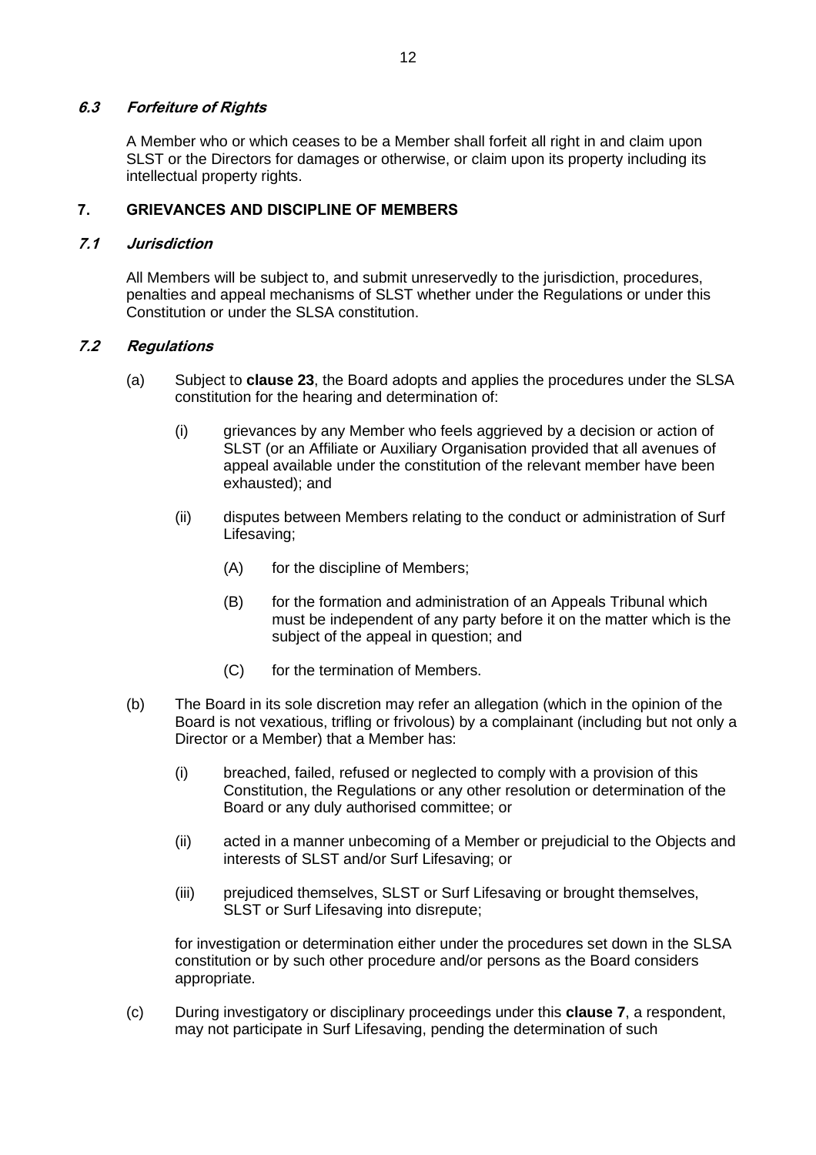# **6.3 Forfeiture of Rights**

A Member who or which ceases to be a Member shall forfeit all right in and claim upon SLST or the Directors for damages or otherwise, or claim upon its property including its intellectual property rights.

#### <span id="page-17-0"></span>**7. GRIEVANCES AND DISCIPLINE OF MEMBERS**

#### **7.1 Jurisdiction**

All Members will be subject to, and submit unreservedly to the jurisdiction, procedures, penalties and appeal mechanisms of SLST whether under the Regulations or under this Constitution or under the SLSA constitution.

#### <span id="page-17-1"></span>**7.2 Regulations**

- (a) Subject to **clause [23](#page-34-0)**, the Board adopts and applies the procedures under the SLSA constitution for the hearing and determination of:
	- (i) grievances by any Member who feels aggrieved by a decision or action of SLST (or an Affiliate or Auxiliary Organisation provided that all avenues of appeal available under the constitution of the relevant member have been exhausted); and
	- (ii) disputes between Members relating to the conduct or administration of Surf Lifesaving;
		- (A) for the discipline of Members;
		- (B) for the formation and administration of an Appeals Tribunal which must be independent of any party before it on the matter which is the subject of the appeal in question; and
		- (C) for the termination of Members.
- (b) The Board in its sole discretion may refer an allegation (which in the opinion of the Board is not vexatious, trifling or frivolous) by a complainant (including but not only a Director or a Member) that a Member has:
	- (i) breached, failed, refused or neglected to comply with a provision of this Constitution, the Regulations or any other resolution or determination of the Board or any duly authorised committee; or
	- (ii) acted in a manner unbecoming of a Member or prejudicial to the Objects and interests of SLST and/or Surf Lifesaving; or
	- (iii) prejudiced themselves, SLST or Surf Lifesaving or brought themselves, SLST or Surf Lifesaving into disrepute;

for investigation or determination either under the procedures set down in the SLSA constitution or by such other procedure and/or persons as the Board considers appropriate.

(c) During investigatory or disciplinary proceedings under this **clause [7](#page-17-0)**, a respondent, may not participate in Surf Lifesaving, pending the determination of such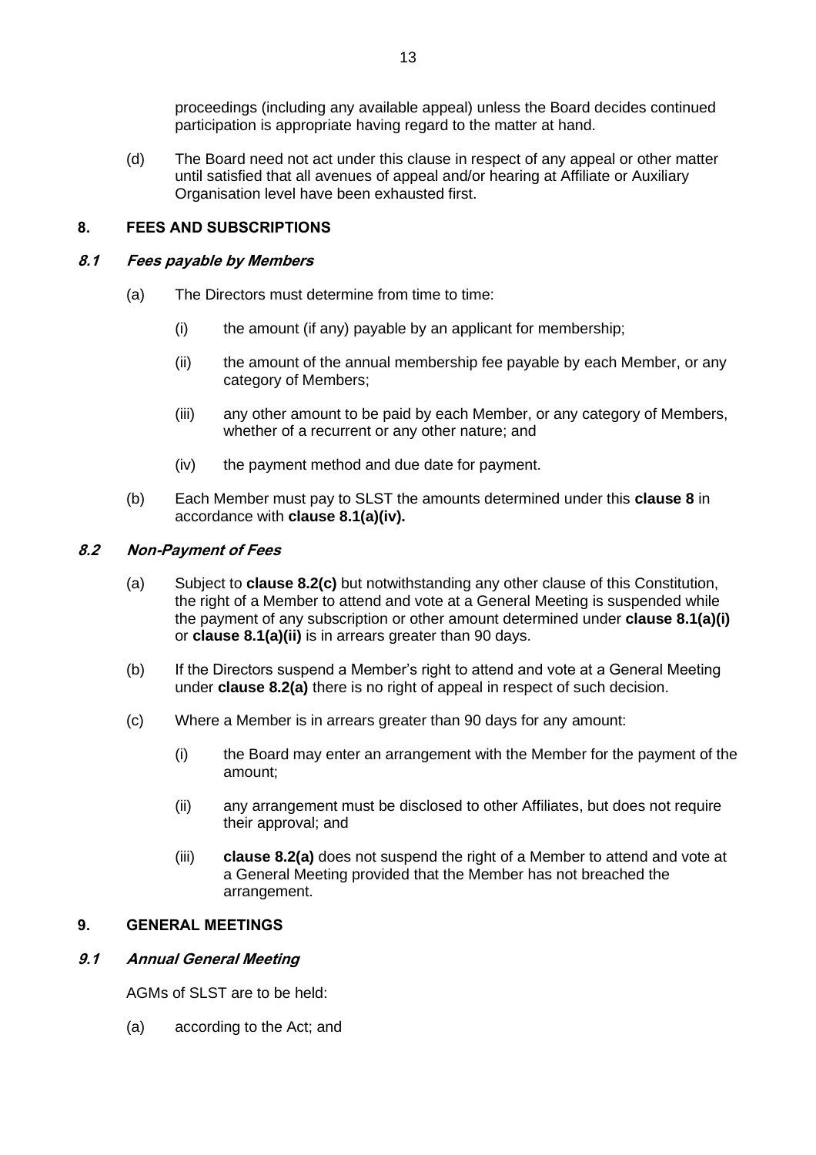proceedings (including any available appeal) unless the Board decides continued participation is appropriate having regard to the matter at hand.

(d) The Board need not act under this clause in respect of any appeal or other matter until satisfied that all avenues of appeal and/or hearing at Affiliate or Auxiliary Organisation level have been exhausted first.

# <span id="page-18-0"></span>**8. FEES AND SUBSCRIPTIONS**

#### <span id="page-18-1"></span>**8.1 Fees payable by Members**

- <span id="page-18-4"></span><span id="page-18-3"></span>(a) The Directors must determine from time to time:
	- (i) the amount (if any) payable by an applicant for membership;
	- (ii) the amount of the annual membership fee payable by each Member, or any category of Members;
	- (iii) any other amount to be paid by each Member, or any category of Members, whether of a recurrent or any other nature; and
	- (iv) the payment method and due date for payment.
- (b) Each Member must pay to SLST the amounts determined under this **clause [8](#page-18-0)** in accordance with **clause [8.1\(a\)\(](#page-18-1)iv).**

# <span id="page-18-5"></span>**8.2 Non-Payment of Fees**

- (a) Subject to **clause [8.2\(c\)](#page-18-2)** but notwithstanding any other clause of this Constitution, the right of a Member to attend and vote at a General Meeting is suspended while the payment of any subscription or other amount determined under **clause [8.1\(a\)\(i\)](#page-18-3)** or **clause [8.1\(a\)\(ii\)](#page-18-4)** is in arrears greater than 90 days.
- (b) If the Directors suspend a Member's right to attend and vote at a General Meeting under **clause 8.2(a)** there is no right of appeal in respect of such decision.
- <span id="page-18-2"></span>(c) Where a Member is in arrears greater than 90 days for any amount:
	- (i) the Board may enter an arrangement with the Member for the payment of the amount;
	- (ii) any arrangement must be disclosed to other Affiliates, but does not require their approval; and
	- (iii) **clause [8.2\(a\)](#page-18-5)** does not suspend the right of a Member to attend and vote at a General Meeting provided that the Member has not breached the arrangement.

# **9. GENERAL MEETINGS**

# **9.1 Annual General Meeting**

AGMs of SLST are to be held:

(a) according to the Act; and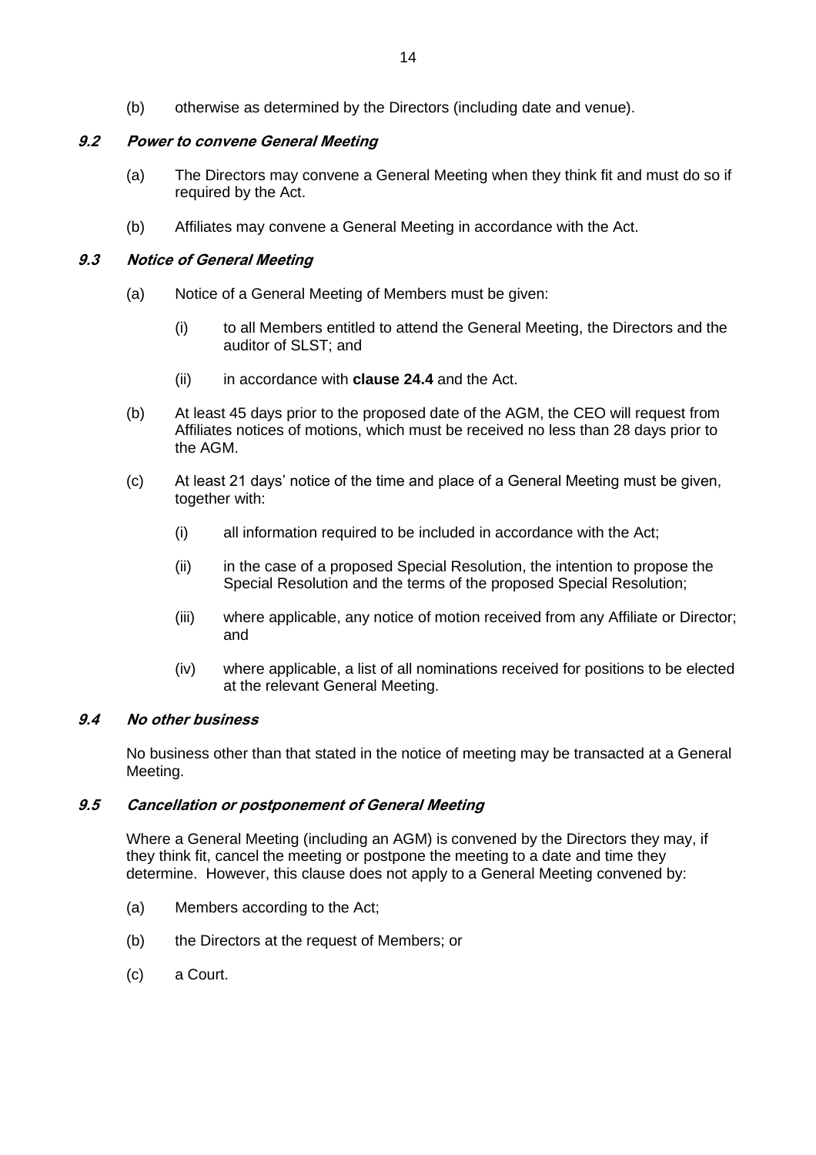(b) otherwise as determined by the Directors (including date and venue).

# **9.2 Power to convene General Meeting**

- (a) The Directors may convene a General Meeting when they think fit and must do so if required by the Act.
- (b) Affiliates may convene a General Meeting in accordance with the Act.

# **9.3 Notice of General Meeting**

- (a) Notice of a General Meeting of Members must be given:
	- (i) to all Members entitled to attend the General Meeting, the Directors and the auditor of SLST; and
	- (ii) in accordance with **clause [24.4](#page-35-0)** and the Act.
- (b) At least 45 days prior to the proposed date of the AGM, the CEO will request from Affiliates notices of motions, which must be received no less than 28 days prior to the AGM.
- (c) At least 21 days' notice of the time and place of a General Meeting must be given, together with:
	- (i) all information required to be included in accordance with the Act;
	- (ii) in the case of a proposed Special Resolution, the intention to propose the Special Resolution and the terms of the proposed Special Resolution;
	- (iii) where applicable, any notice of motion received from any Affiliate or Director; and
	- (iv) where applicable, a list of all nominations received for positions to be elected at the relevant General Meeting.

# **9.4 No other business**

No business other than that stated in the notice of meeting may be transacted at a General Meeting.

# **9.5 Cancellation or postponement of General Meeting**

Where a General Meeting (including an AGM) is convened by the Directors they may, if they think fit, cancel the meeting or postpone the meeting to a date and time they determine. However, this clause does not apply to a General Meeting convened by:

- (a) Members according to the Act;
- (b) the Directors at the request of Members; or
- (c) a Court.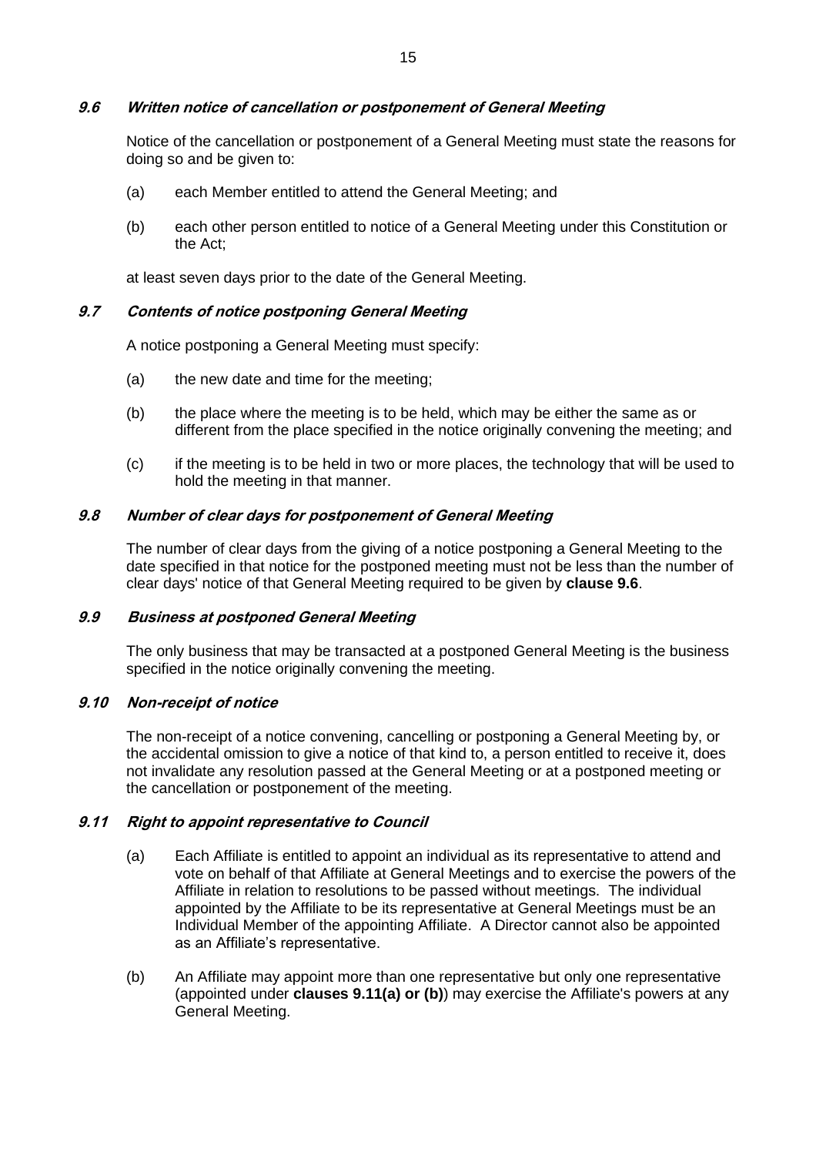#### <span id="page-20-0"></span>**9.6 Written notice of cancellation or postponement of General Meeting**

Notice of the cancellation or postponement of a General Meeting must state the reasons for doing so and be given to:

- (a) each Member entitled to attend the General Meeting; and
- (b) each other person entitled to notice of a General Meeting under this Constitution or the Act;

at least seven days prior to the date of the General Meeting.

#### **9.7 Contents of notice postponing General Meeting**

A notice postponing a General Meeting must specify:

- (a) the new date and time for the meeting;
- (b) the place where the meeting is to be held, which may be either the same as or different from the place specified in the notice originally convening the meeting; and
- (c) if the meeting is to be held in two or more places, the technology that will be used to hold the meeting in that manner.

#### **9.8 Number of clear days for postponement of General Meeting**

The number of clear days from the giving of a notice postponing a General Meeting to the date specified in that notice for the postponed meeting must not be less than the number of clear days' notice of that General Meeting required to be given by **clause [9.6](#page-20-0)**.

#### **9.9 Business at postponed General Meeting**

The only business that may be transacted at a postponed General Meeting is the business specified in the notice originally convening the meeting.

# **9.10 Non-receipt of notice**

The non-receipt of a notice convening, cancelling or postponing a General Meeting by, or the accidental omission to give a notice of that kind to, a person entitled to receive it, does not invalidate any resolution passed at the General Meeting or at a postponed meeting or the cancellation or postponement of the meeting.

# **9.11 Right to appoint representative to Council**

- (a) Each Affiliate is entitled to appoint an individual as its representative to attend and vote on behalf of that Affiliate at General Meetings and to exercise the powers of the Affiliate in relation to resolutions to be passed without meetings. The individual appointed by the Affiliate to be its representative at General Meetings must be an Individual Member of the appointing Affiliate. A Director cannot also be appointed as an Affiliate's representative.
- (b) An Affiliate may appoint more than one representative but only one representative (appointed under **clauses 9.11(a) or (b)**) may exercise the Affiliate's powers at any General Meeting.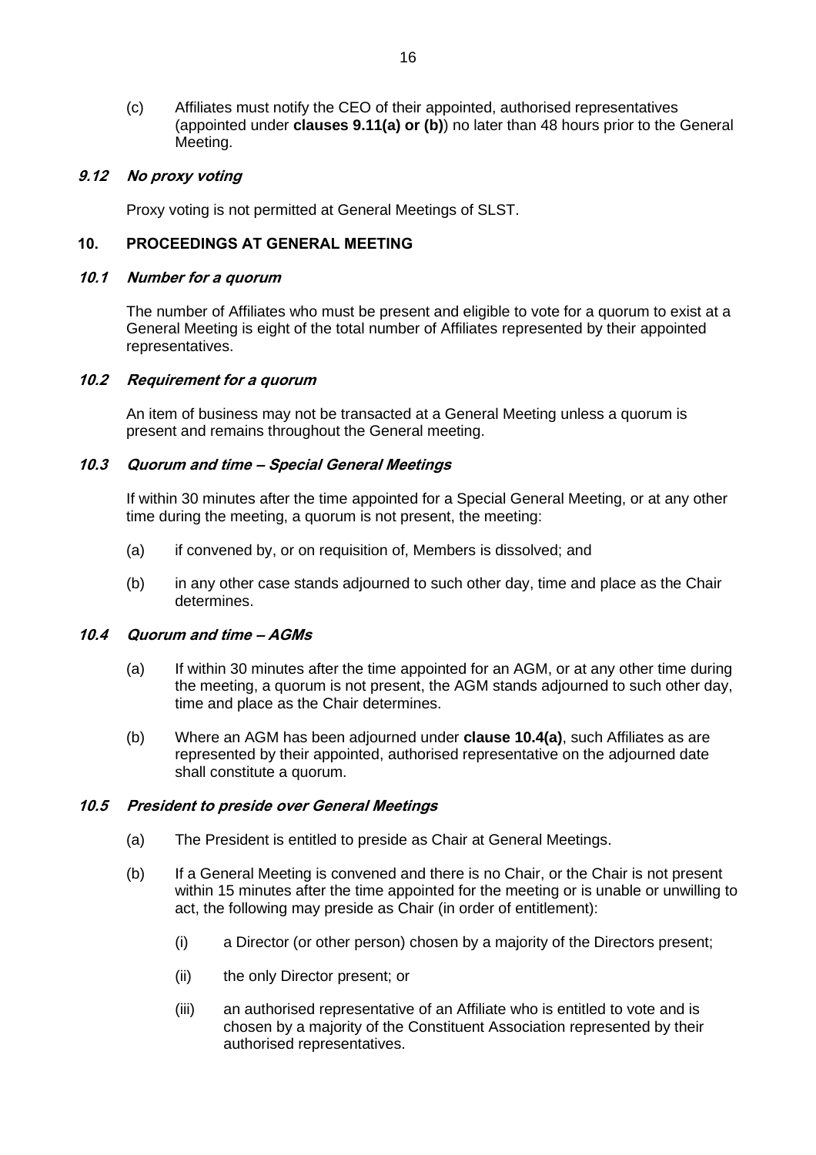(c) Affiliates must notify the CEO of their appointed, authorised representatives (appointed under **clauses 9.11(a) or (b)**) no later than 48 hours prior to the General Meeting.

# **9.12 No proxy voting**

Proxy voting is not permitted at General Meetings of SLST.

#### **10. PROCEEDINGS AT GENERAL MEETING**

#### **10.1 Number for a quorum**

The number of Affiliates who must be present and eligible to vote for a quorum to exist at a General Meeting is eight of the total number of Affiliates represented by their appointed representatives.

# **10.2 Requirement for a quorum**

An item of business may not be transacted at a General Meeting unless a quorum is present and remains throughout the General meeting.

#### **10.3 Quorum and time – Special General Meetings**

If within 30 minutes after the time appointed for a Special General Meeting, or at any other time during the meeting, a quorum is not present, the meeting:

- (a) if convened by, or on requisition of, Members is dissolved; and
- (b) in any other case stands adjourned to such other day, time and place as the Chair determines.

#### <span id="page-21-0"></span>**10.4 Quorum and time – AGMs**

- (a) If within 30 minutes after the time appointed for an AGM, or at any other time during the meeting, a quorum is not present, the AGM stands adjourned to such other day, time and place as the Chair determines.
- (b) Where an AGM has been adjourned under **clause [10.4\(a\)](#page-21-0)**, such Affiliates as are represented by their appointed, authorised representative on the adjourned date shall constitute a quorum.

# **10.5 President to preside over General Meetings**

- (a) The President is entitled to preside as Chair at General Meetings.
- (b) If a General Meeting is convened and there is no Chair, or the Chair is not present within 15 minutes after the time appointed for the meeting or is unable or unwilling to act, the following may preside as Chair (in order of entitlement):
	- (i) a Director (or other person) chosen by a majority of the Directors present;
	- (ii) the only Director present; or
	- (iii) an authorised representative of an Affiliate who is entitled to vote and is chosen by a majority of the Constituent Association represented by their authorised representatives.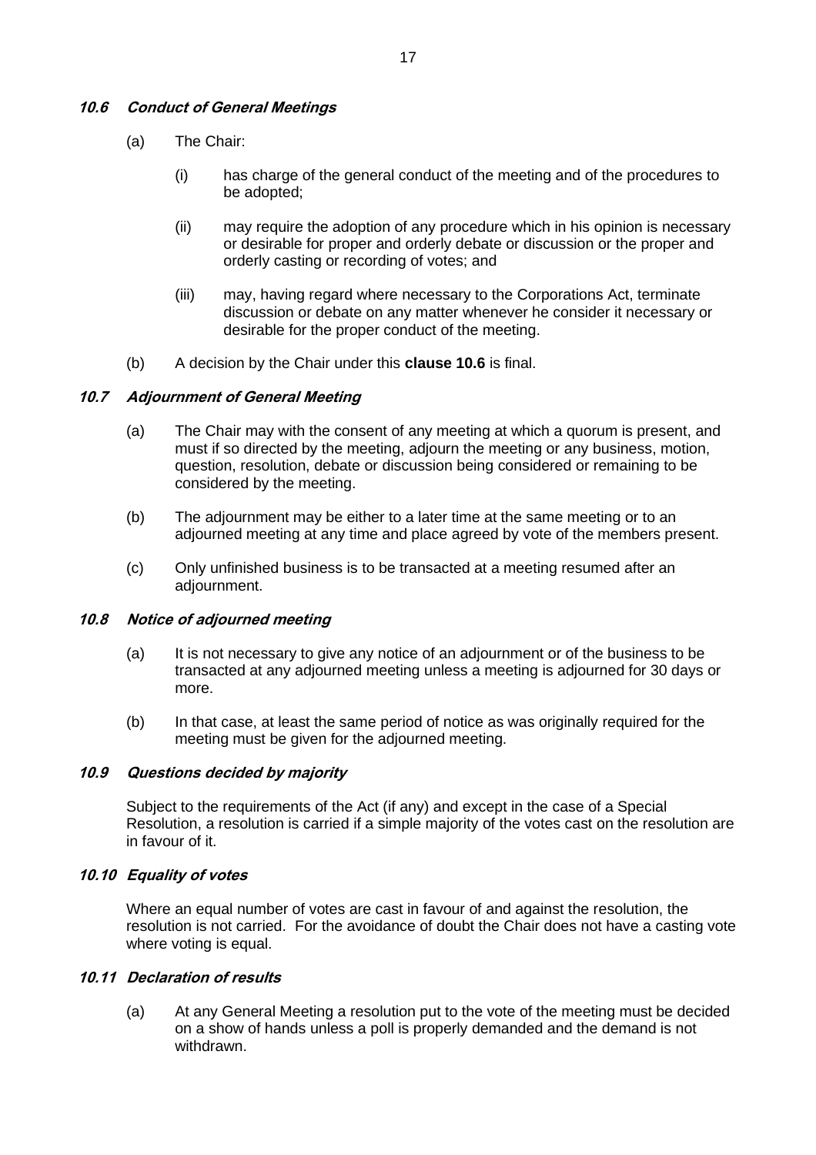# <span id="page-22-0"></span>**10.6 Conduct of General Meetings**

- (a) The Chair:
	- (i) has charge of the general conduct of the meeting and of the procedures to be adopted;
	- (ii) may require the adoption of any procedure which in his opinion is necessary or desirable for proper and orderly debate or discussion or the proper and orderly casting or recording of votes; and
	- (iii) may, having regard where necessary to the Corporations Act, terminate discussion or debate on any matter whenever he consider it necessary or desirable for the proper conduct of the meeting.
- (b) A decision by the Chair under this **clause [10.6](#page-22-0)** is final.

#### **10.7 Adjournment of General Meeting**

- (a) The Chair may with the consent of any meeting at which a quorum is present, and must if so directed by the meeting, adjourn the meeting or any business, motion, question, resolution, debate or discussion being considered or remaining to be considered by the meeting.
- (b) The adjournment may be either to a later time at the same meeting or to an adjourned meeting at any time and place agreed by vote of the members present.
- (c) Only unfinished business is to be transacted at a meeting resumed after an adjournment.

#### **10.8 Notice of adjourned meeting**

- (a) It is not necessary to give any notice of an adjournment or of the business to be transacted at any adjourned meeting unless a meeting is adjourned for 30 days or more.
- (b) In that case, at least the same period of notice as was originally required for the meeting must be given for the adjourned meeting.

#### **10.9 Questions decided by majority**

Subject to the requirements of the Act (if any) and except in the case of a Special Resolution, a resolution is carried if a simple majority of the votes cast on the resolution are in favour of it.

#### **10.10 Equality of votes**

Where an equal number of votes are cast in favour of and against the resolution, the resolution is not carried. For the avoidance of doubt the Chair does not have a casting vote where voting is equal.

# **10.11 Declaration of results**

(a) At any General Meeting a resolution put to the vote of the meeting must be decided on a show of hands unless a poll is properly demanded and the demand is not withdrawn.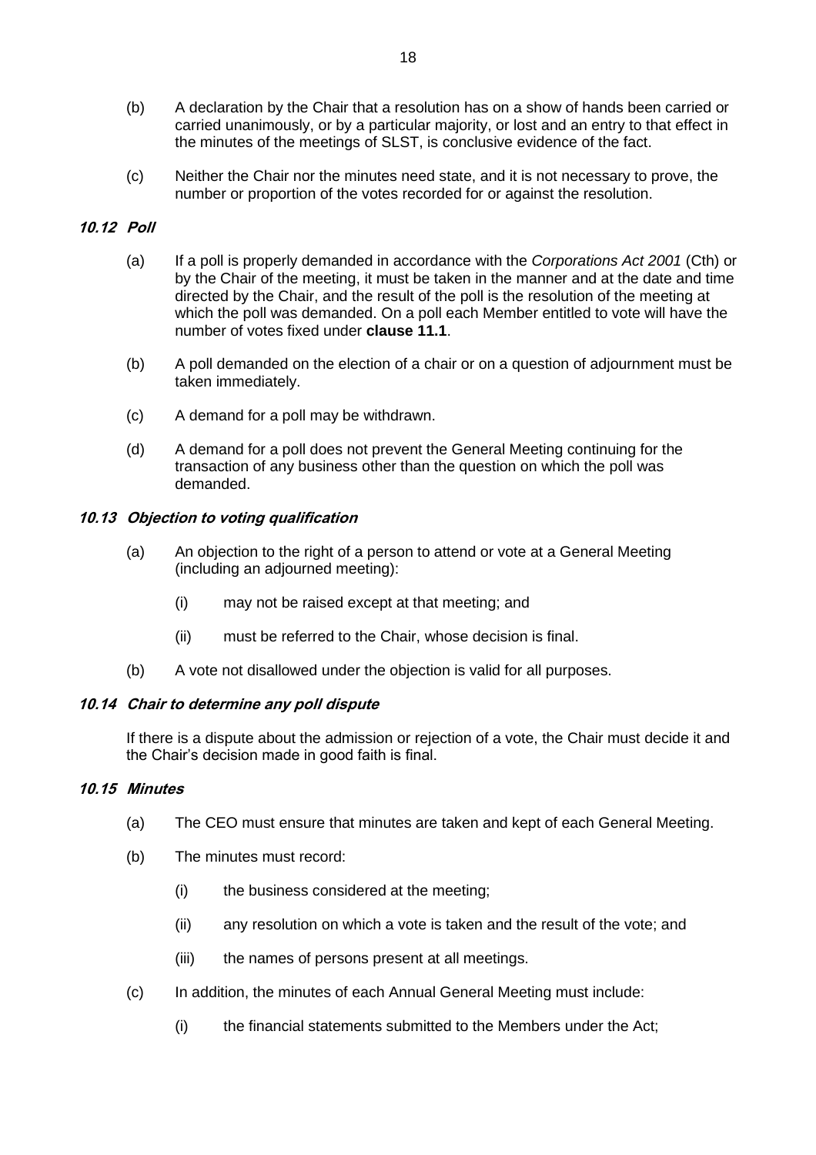- (b) A declaration by the Chair that a resolution has on a show of hands been carried or carried unanimously, or by a particular majority, or lost and an entry to that effect in the minutes of the meetings of SLST, is conclusive evidence of the fact.
- (c) Neither the Chair nor the minutes need state, and it is not necessary to prove, the number or proportion of the votes recorded for or against the resolution.

# **10.12 Poll**

- (a) If a poll is properly demanded in accordance with the *Corporations Act 2001* (Cth) or by the Chair of the meeting, it must be taken in the manner and at the date and time directed by the Chair, and the result of the poll is the resolution of the meeting at which the poll was demanded. On a poll each Member entitled to vote will have the number of votes fixed under **clause [11.1](#page-24-0)**.
- (b) A poll demanded on the election of a chair or on a question of adjournment must be taken immediately.
- (c) A demand for a poll may be withdrawn.
- (d) A demand for a poll does not prevent the General Meeting continuing for the transaction of any business other than the question on which the poll was demanded.

# **10.13 Objection to voting qualification**

- (a) An objection to the right of a person to attend or vote at a General Meeting (including an adjourned meeting):
	- (i) may not be raised except at that meeting; and
	- (ii) must be referred to the Chair, whose decision is final.
- (b) A vote not disallowed under the objection is valid for all purposes.

# **10.14 Chair to determine any poll dispute**

If there is a dispute about the admission or rejection of a vote, the Chair must decide it and the Chair's decision made in good faith is final.

# **10.15 Minutes**

- (a) The CEO must ensure that minutes are taken and kept of each General Meeting.
- (b) The minutes must record:
	- (i) the business considered at the meeting;
	- (ii) any resolution on which a vote is taken and the result of the vote; and
	- (iii) the names of persons present at all meetings.
- (c) In addition, the minutes of each Annual General Meeting must include:
	- (i) the financial statements submitted to the Members under the Act;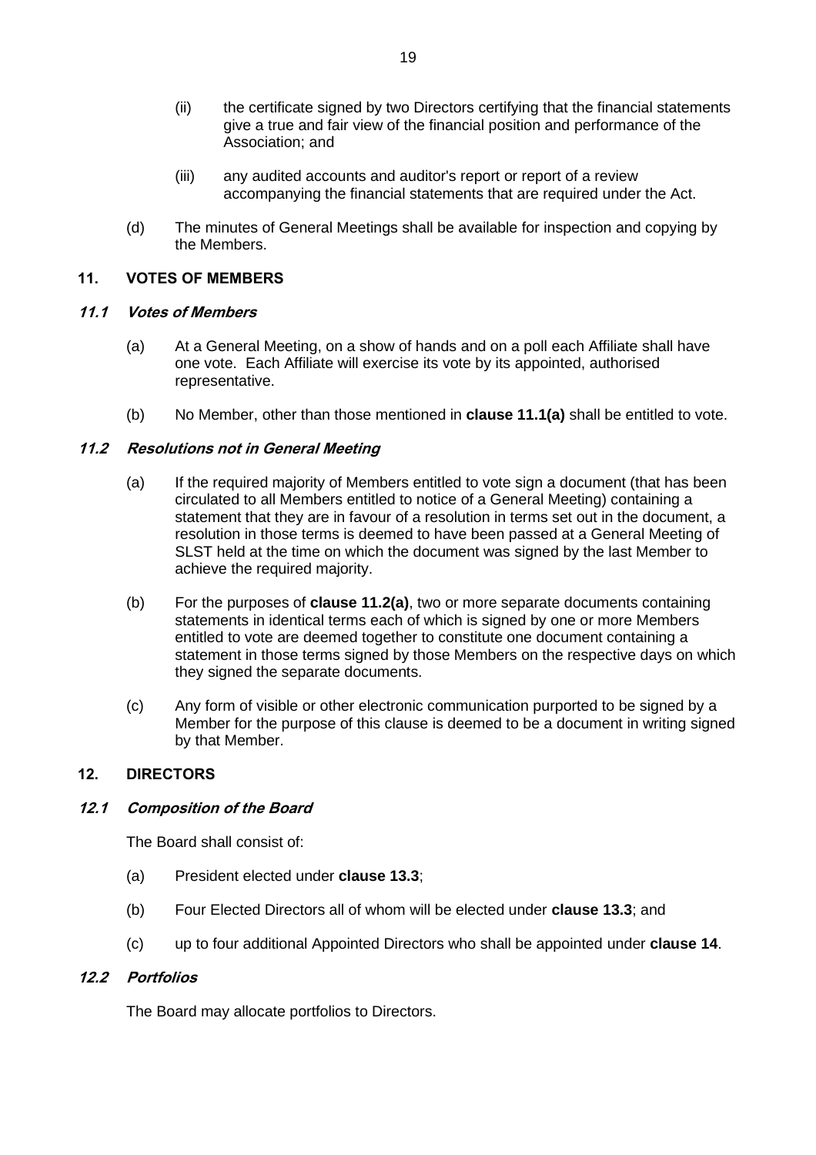- (ii) the certificate signed by two Directors certifying that the financial statements give a true and fair view of the financial position and performance of the Association; and
- (iii) any audited accounts and auditor's report or report of a review accompanying the financial statements that are required under the Act.
- (d) The minutes of General Meetings shall be available for inspection and copying by the Members.

# **11. VOTES OF MEMBERS**

# <span id="page-24-0"></span>**11.1 Votes of Members**

- (a) At a General Meeting, on a show of hands and on a poll each Affiliate shall have one vote. Each Affiliate will exercise its vote by its appointed, authorised representative.
- (b) No Member, other than those mentioned in **clause 11.1(a)** shall be entitled to vote.

# <span id="page-24-1"></span>**11.2 Resolutions not in General Meeting**

- (a) If the required majority of Members entitled to vote sign a document (that has been circulated to all Members entitled to notice of a General Meeting) containing a statement that they are in favour of a resolution in terms set out in the document, a resolution in those terms is deemed to have been passed at a General Meeting of SLST held at the time on which the document was signed by the last Member to achieve the required majority.
- (b) For the purposes of **clause [11.2\(a\)](#page-24-1)**, two or more separate documents containing statements in identical terms each of which is signed by one or more Members entitled to vote are deemed together to constitute one document containing a statement in those terms signed by those Members on the respective days on which they signed the separate documents.
- (c) Any form of visible or other electronic communication purported to be signed by a Member for the purpose of this clause is deemed to be a document in writing signed by that Member.

# **12. DIRECTORS**

# **12.1 Composition of the Board**

The Board shall consist of:

- (a) President elected under **clause 13.3**;
- (b) Four Elected Directors all of whom will be elected under **clause 13.3**; and
- (c) up to four additional Appointed Directors who shall be appointed under **clause 14**.

# **12.2 Portfolios**

The Board may allocate portfolios to Directors.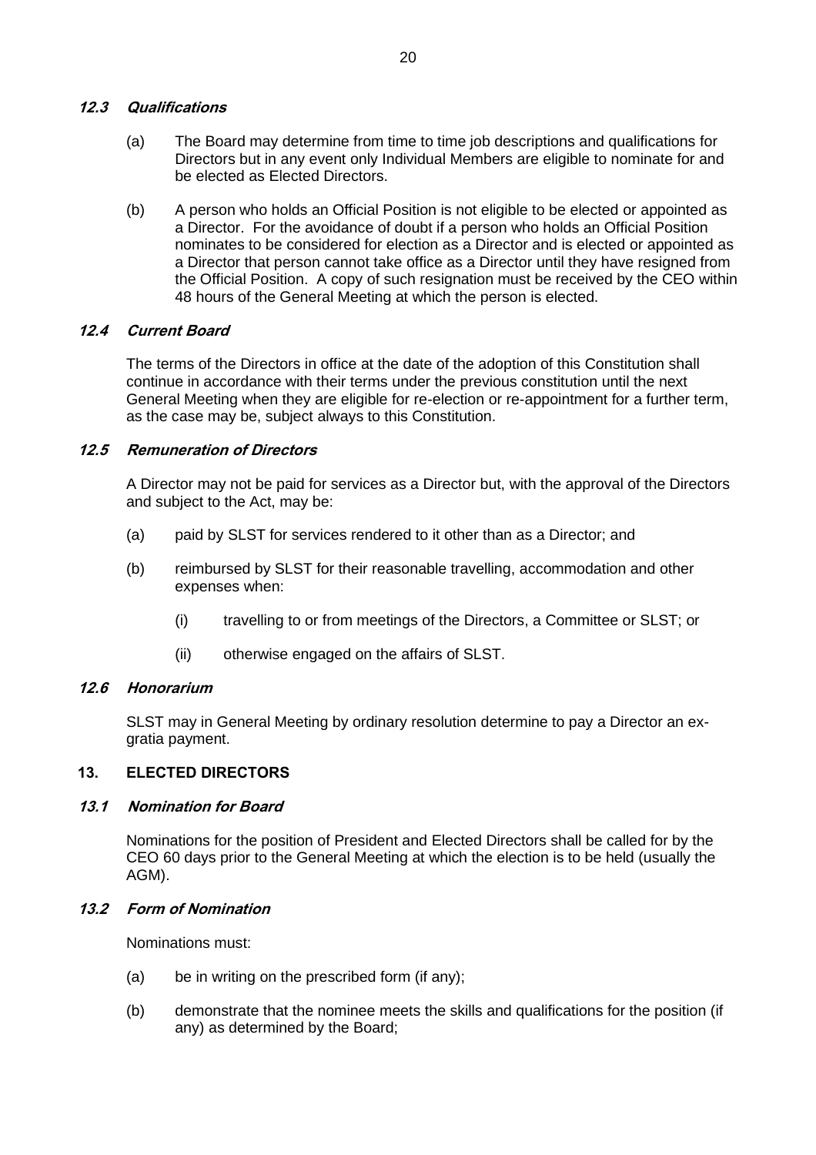# **12.3 Qualifications**

- (a) The Board may determine from time to time job descriptions and qualifications for Directors but in any event only Individual Members are eligible to nominate for and be elected as Elected Directors.
- (b) A person who holds an Official Position is not eligible to be elected or appointed as a Director. For the avoidance of doubt if a person who holds an Official Position nominates to be considered for election as a Director and is elected or appointed as a Director that person cannot take office as a Director until they have resigned from the Official Position. A copy of such resignation must be received by the CEO within 48 hours of the General Meeting at which the person is elected.

# **12.4 Current Board**

The terms of the Directors in office at the date of the adoption of this Constitution shall continue in accordance with their terms under the previous constitution until the next General Meeting when they are eligible for re-election or re-appointment for a further term, as the case may be, subject always to this Constitution.

# **12.5 Remuneration of Directors**

A Director may not be paid for services as a Director but, with the approval of the Directors and subject to the Act, may be:

- (a) paid by SLST for services rendered to it other than as a Director; and
- (b) reimbursed by SLST for their reasonable travelling, accommodation and other expenses when:
	- (i) travelling to or from meetings of the Directors, a Committee or SLST; or
	- (ii) otherwise engaged on the affairs of SLST.

# **12.6 Honorarium**

SLST may in General Meeting by ordinary resolution determine to pay a Director an exgratia payment.

# **13. ELECTED DIRECTORS**

# **13.1 Nomination for Board**

Nominations for the position of President and Elected Directors shall be called for by the CEO 60 days prior to the General Meeting at which the election is to be held (usually the AGM).

# **13.2 Form of Nomination**

Nominations must:

- (a) be in writing on the prescribed form (if any);
- (b) demonstrate that the nominee meets the skills and qualifications for the position (if any) as determined by the Board;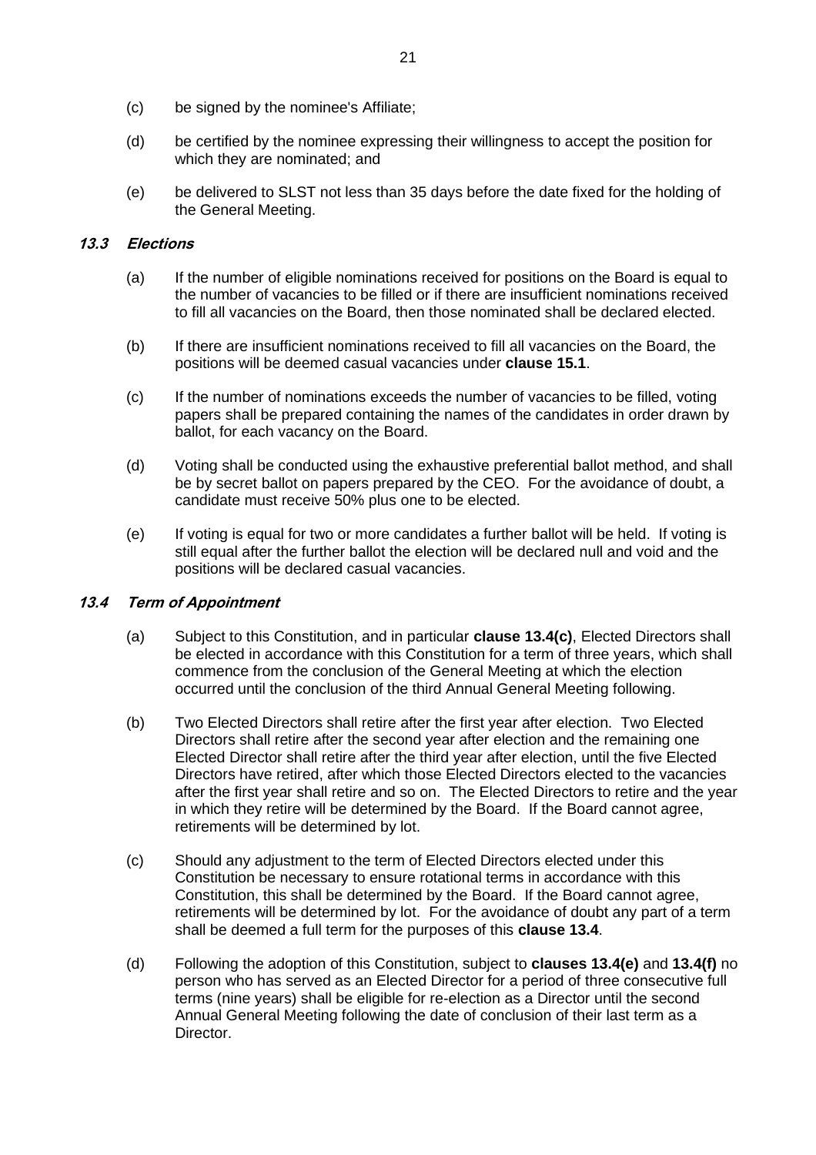- (c) be signed by the nominee's Affiliate;
- (d) be certified by the nominee expressing their willingness to accept the position for which they are nominated; and
- (e) be delivered to SLST not less than 35 days before the date fixed for the holding of the General Meeting.

#### **13.3 Elections**

- (a) If the number of eligible nominations received for positions on the Board is equal to the number of vacancies to be filled or if there are insufficient nominations received to fill all vacancies on the Board, then those nominated shall be declared elected.
- (b) If there are insufficient nominations received to fill all vacancies on the Board, the positions will be deemed casual vacancies under **clause [15.1](#page-28-0)**.
- (c) If the number of nominations exceeds the number of vacancies to be filled, voting papers shall be prepared containing the names of the candidates in order drawn by ballot, for each vacancy on the Board.
- (d) Voting shall be conducted using the exhaustive preferential ballot method, and shall be by secret ballot on papers prepared by the CEO. For the avoidance of doubt, a candidate must receive 50% plus one to be elected.
- (e) If voting is equal for two or more candidates a further ballot will be held. If voting is still equal after the further ballot the election will be declared null and void and the positions will be declared casual vacancies.

# <span id="page-26-1"></span>**13.4 Term of Appointment**

- (a) Subject to this Constitution, and in particular **clause [13.4\(c\)](#page-26-0)**, Elected Directors shall be elected in accordance with this Constitution for a term of three years, which shall commence from the conclusion of the General Meeting at which the election occurred until the conclusion of the third Annual General Meeting following.
- (b) Two Elected Directors shall retire after the first year after election. Two Elected Directors shall retire after the second year after election and the remaining one Elected Director shall retire after the third year after election, until the five Elected Directors have retired, after which those Elected Directors elected to the vacancies after the first year shall retire and so on. The Elected Directors to retire and the year in which they retire will be determined by the Board. If the Board cannot agree, retirements will be determined by lot.
- <span id="page-26-0"></span>(c) Should any adjustment to the term of Elected Directors elected under this Constitution be necessary to ensure rotational terms in accordance with this Constitution, this shall be determined by the Board. If the Board cannot agree, retirements will be determined by lot. For the avoidance of doubt any part of a term shall be deemed a full term for the purposes of this **clause [13.4](#page-26-1)**.
- <span id="page-26-2"></span>(d) Following the adoption of this Constitution, subject to **clauses [13.4\(e\)](#page-27-0)** and **[13.4\(f\)](#page-27-1)** no person who has served as an Elected Director for a period of three consecutive full terms (nine years) shall be eligible for re-election as a Director until the second Annual General Meeting following the date of conclusion of their last term as a Director.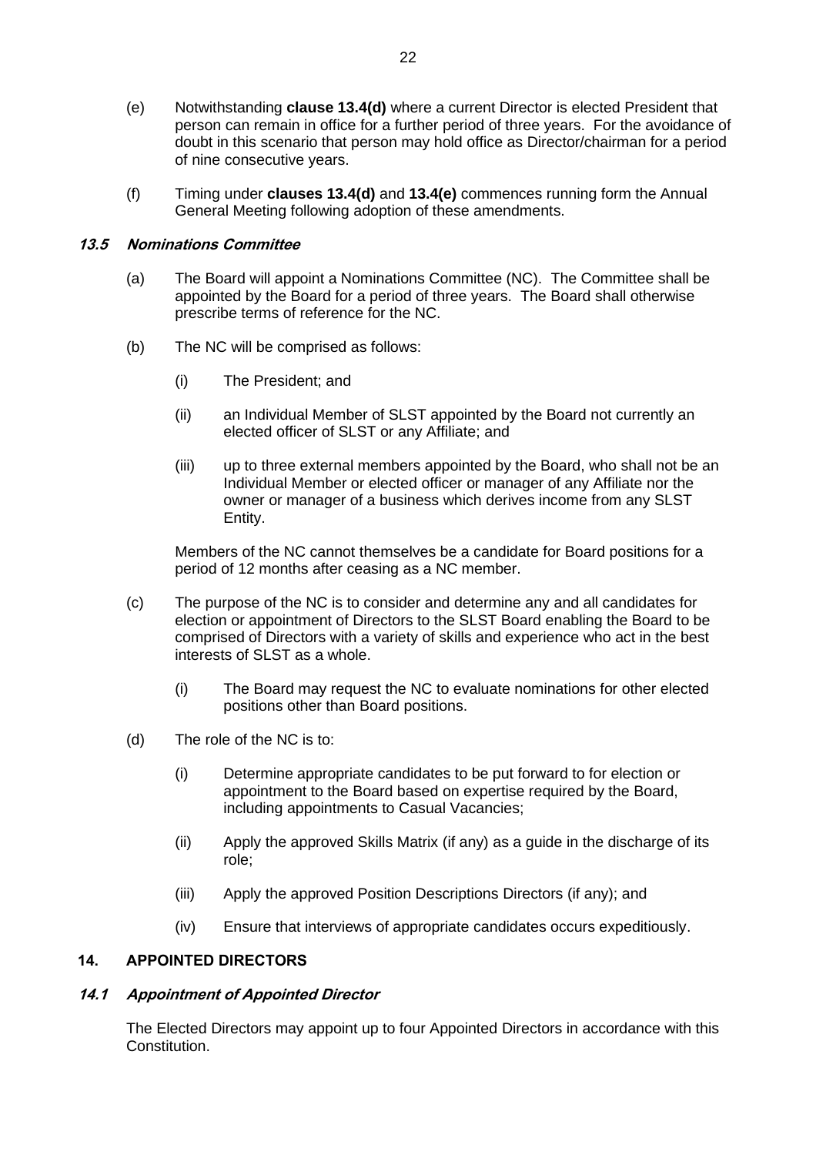- <span id="page-27-0"></span>(e) Notwithstanding **clause [13.4\(d\)](#page-26-2)** where a current Director is elected President that person can remain in office for a further period of three years. For the avoidance of doubt in this scenario that person may hold office as Director/chairman for a period of nine consecutive years.
- (f) Timing under **clauses 13.4(d)** and **[13.4\(e\)](#page-27-0)** commences running form the Annual General Meeting following adoption of these amendments.

#### <span id="page-27-1"></span>**13.5 Nominations Committee**

- (a) The Board will appoint a Nominations Committee (NC). The Committee shall be appointed by the Board for a period of three years. The Board shall otherwise prescribe terms of reference for the NC.
- (b) The NC will be comprised as follows:
	- (i) The President; and
	- (ii) an Individual Member of SLST appointed by the Board not currently an elected officer of SLST or any Affiliate; and
	- (iii) up to three external members appointed by the Board, who shall not be an Individual Member or elected officer or manager of any Affiliate nor the owner or manager of a business which derives income from any SLST Entity.

Members of the NC cannot themselves be a candidate for Board positions for a period of 12 months after ceasing as a NC member.

- (c) The purpose of the NC is to consider and determine any and all candidates for election or appointment of Directors to the SLST Board enabling the Board to be comprised of Directors with a variety of skills and experience who act in the best interests of SLST as a whole.
	- (i) The Board may request the NC to evaluate nominations for other elected positions other than Board positions.
- (d) The role of the NC is to:
	- (i) Determine appropriate candidates to be put forward to for election or appointment to the Board based on expertise required by the Board, including appointments to Casual Vacancies;
	- (ii) Apply the approved Skills Matrix (if any) as a guide in the discharge of its role;
	- (iii) Apply the approved Position Descriptions Directors (if any); and
	- (iv) Ensure that interviews of appropriate candidates occurs expeditiously.

# **14. APPOINTED DIRECTORS**

#### <span id="page-27-2"></span>**14.1 Appointment of Appointed Director**

The Elected Directors may appoint up to four Appointed Directors in accordance with this Constitution.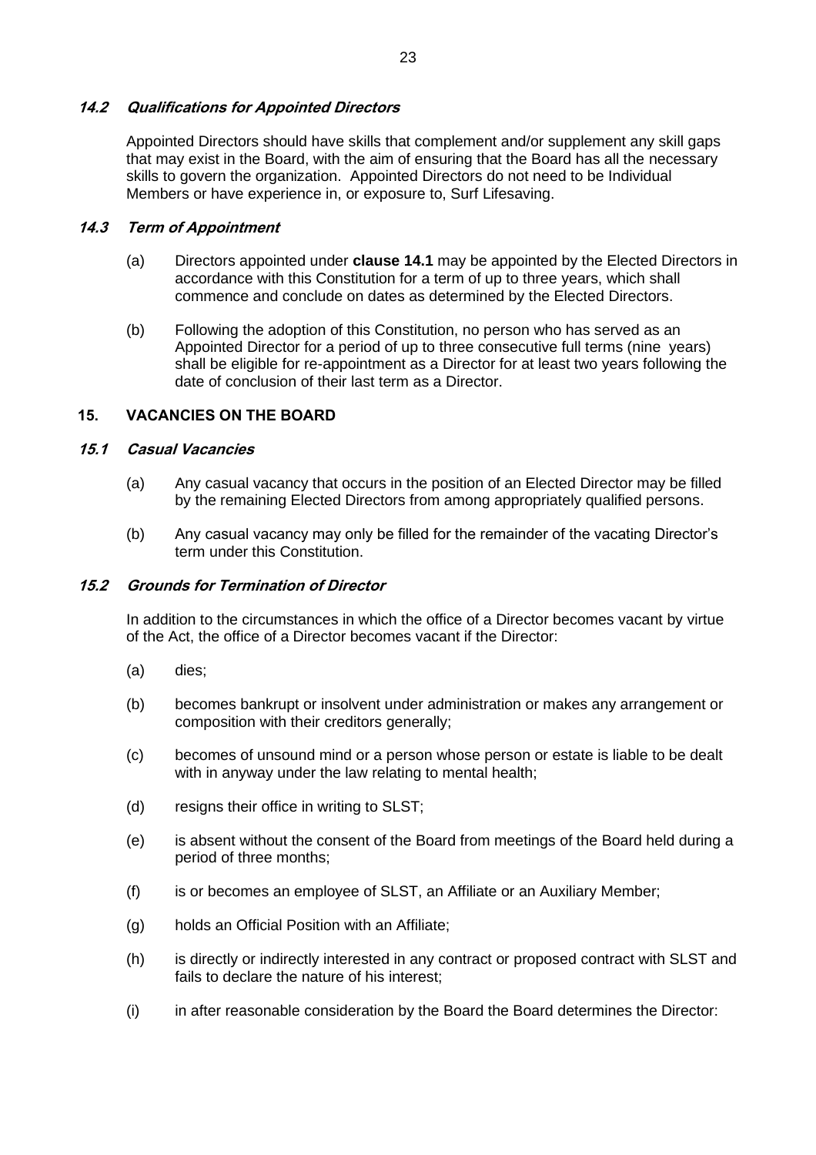#### **14.2 Qualifications for Appointed Directors**

Appointed Directors should have skills that complement and/or supplement any skill gaps that may exist in the Board, with the aim of ensuring that the Board has all the necessary skills to govern the organization. Appointed Directors do not need to be Individual Members or have experience in, or exposure to, Surf Lifesaving.

#### **14.3 Term of Appointment**

- (a) Directors appointed under **clause [14.1](#page-27-2)** may be appointed by the Elected Directors in accordance with this Constitution for a term of up to three years, which shall commence and conclude on dates as determined by the Elected Directors.
- (b) Following the adoption of this Constitution, no person who has served as an Appointed Director for a period of up to three consecutive full terms (nine years) shall be eligible for re-appointment as a Director for at least two years following the date of conclusion of their last term as a Director.

# **15. VACANCIES ON THE BOARD**

#### <span id="page-28-0"></span>**15.1 Casual Vacancies**

- (a) Any casual vacancy that occurs in the position of an Elected Director may be filled by the remaining Elected Directors from among appropriately qualified persons.
- (b) Any casual vacancy may only be filled for the remainder of the vacating Director's term under this Constitution.

#### **15.2 Grounds for Termination of Director**

In addition to the circumstances in which the office of a Director becomes vacant by virtue of the Act, the office of a Director becomes vacant if the Director:

- (a) dies;
- (b) becomes bankrupt or insolvent under administration or makes any arrangement or composition with their creditors generally;
- (c) becomes of unsound mind or a person whose person or estate is liable to be dealt with in anyway under the law relating to mental health;
- (d) resigns their office in writing to SLST;
- (e) is absent without the consent of the Board from meetings of the Board held during a period of three months;
- (f) is or becomes an employee of SLST, an Affiliate or an Auxiliary Member;
- (g) holds an Official Position with an Affiliate;
- (h) is directly or indirectly interested in any contract or proposed contract with SLST and fails to declare the nature of his interest;
- (i) in after reasonable consideration by the Board the Board determines the Director: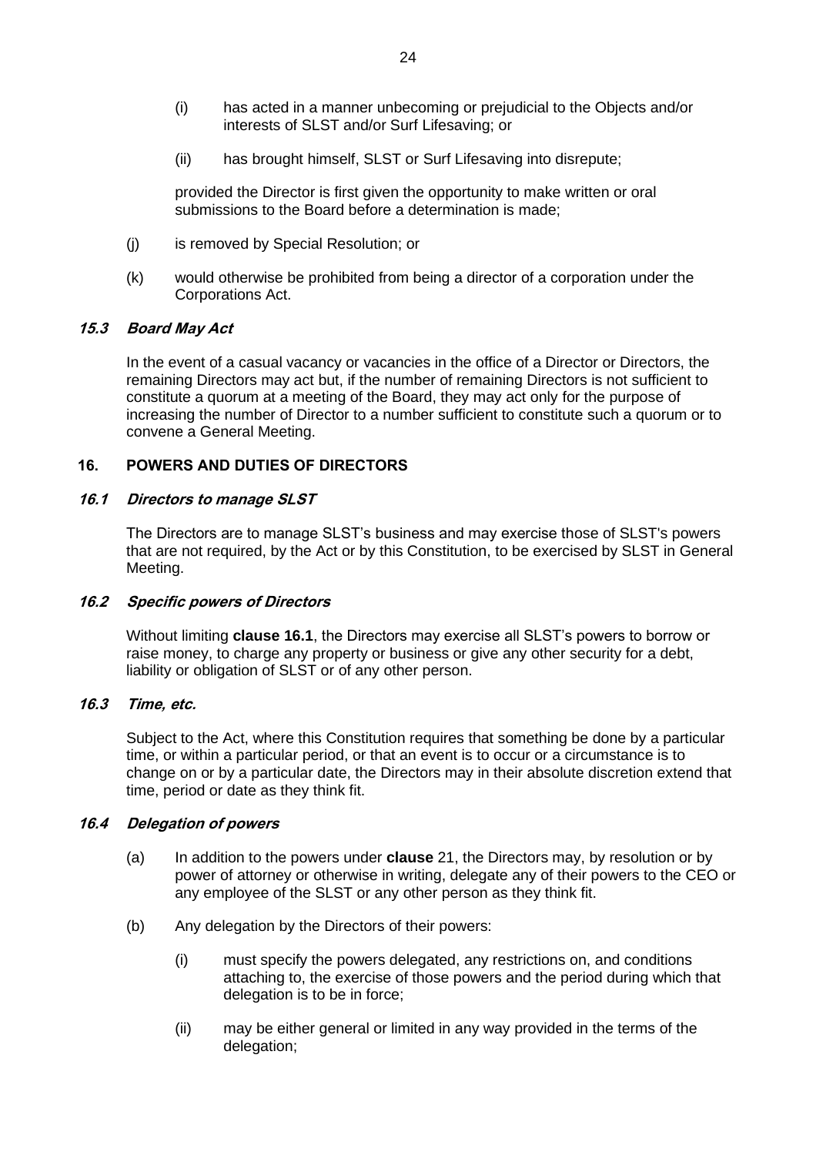24

- (i) has acted in a manner unbecoming or prejudicial to the Objects and/or interests of SLST and/or Surf Lifesaving; or
- (ii) has brought himself, SLST or Surf Lifesaving into disrepute;

provided the Director is first given the opportunity to make written or oral submissions to the Board before a determination is made;

- (j) is removed by Special Resolution; or
- (k) would otherwise be prohibited from being a director of a corporation under the Corporations Act.

# **15.3 Board May Act**

In the event of a casual vacancy or vacancies in the office of a Director or Directors, the remaining Directors may act but, if the number of remaining Directors is not sufficient to constitute a quorum at a meeting of the Board, they may act only for the purpose of increasing the number of Director to a number sufficient to constitute such a quorum or to convene a General Meeting.

# **16. POWERS AND DUTIES OF DIRECTORS**

# <span id="page-29-0"></span>**16.1 Directors to manage SLST**

The Directors are to manage SLST's business and may exercise those of SLST's powers that are not required, by the Act or by this Constitution, to be exercised by SLST in General Meeting.

# **16.2 Specific powers of Directors**

Without limiting **clause [16.1](#page-29-0)**, the Directors may exercise all SLST's powers to borrow or raise money, to charge any property or business or give any other security for a debt, liability or obligation of SLST or of any other person.

# **16.3 Time, etc.**

Subject to the Act, where this Constitution requires that something be done by a particular time, or within a particular period, or that an event is to occur or a circumstance is to change on or by a particular date, the Directors may in their absolute discretion extend that time, period or date as they think fit.

#### **16.4 Delegation of powers**

- (a) In addition to the powers under **clause** 21, the Directors may, by resolution or by power of attorney or otherwise in writing, delegate any of their powers to the CEO or any employee of the SLST or any other person as they think fit.
- (b) Any delegation by the Directors of their powers:
	- (i) must specify the powers delegated, any restrictions on, and conditions attaching to, the exercise of those powers and the period during which that delegation is to be in force;
	- (ii) may be either general or limited in any way provided in the terms of the delegation;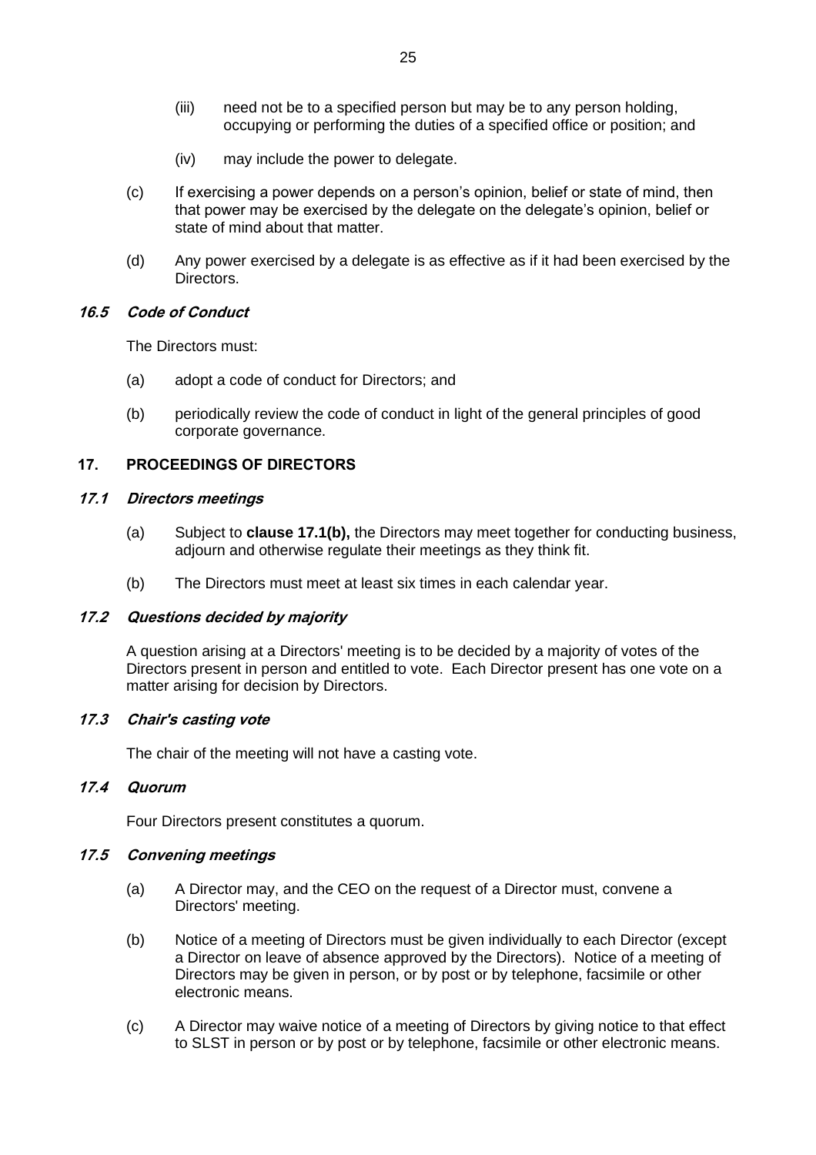- (iii) need not be to a specified person but may be to any person holding, occupying or performing the duties of a specified office or position; and
- (iv) may include the power to delegate.
- (c) If exercising a power depends on a person's opinion, belief or state of mind, then that power may be exercised by the delegate on the delegate's opinion, belief or state of mind about that matter.
- (d) Any power exercised by a delegate is as effective as if it had been exercised by the Directors.

#### **16.5 Code of Conduct**

The Directors must:

- (a) adopt a code of conduct for Directors; and
- (b) periodically review the code of conduct in light of the general principles of good corporate governance.

# **17. PROCEEDINGS OF DIRECTORS**

#### **17.1 Directors meetings**

- (a) Subject to **clause [17.1\(b\),](#page-30-0)** the Directors may meet together for conducting business, adjourn and otherwise regulate their meetings as they think fit.
- (b) The Directors must meet at least six times in each calendar year.

# <span id="page-30-0"></span>**17.2 Questions decided by majority**

A question arising at a Directors' meeting is to be decided by a majority of votes of the Directors present in person and entitled to vote. Each Director present has one vote on a matter arising for decision by Directors.

#### **17.3 Chair's casting vote**

The chair of the meeting will not have a casting vote.

#### **17.4 Quorum**

Four Directors present constitutes a quorum.

# **17.5 Convening meetings**

- (a) A Director may, and the CEO on the request of a Director must, convene a Directors' meeting.
- (b) Notice of a meeting of Directors must be given individually to each Director (except a Director on leave of absence approved by the Directors). Notice of a meeting of Directors may be given in person, or by post or by telephone, facsimile or other electronic means.
- (c) A Director may waive notice of a meeting of Directors by giving notice to that effect to SLST in person or by post or by telephone, facsimile or other electronic means.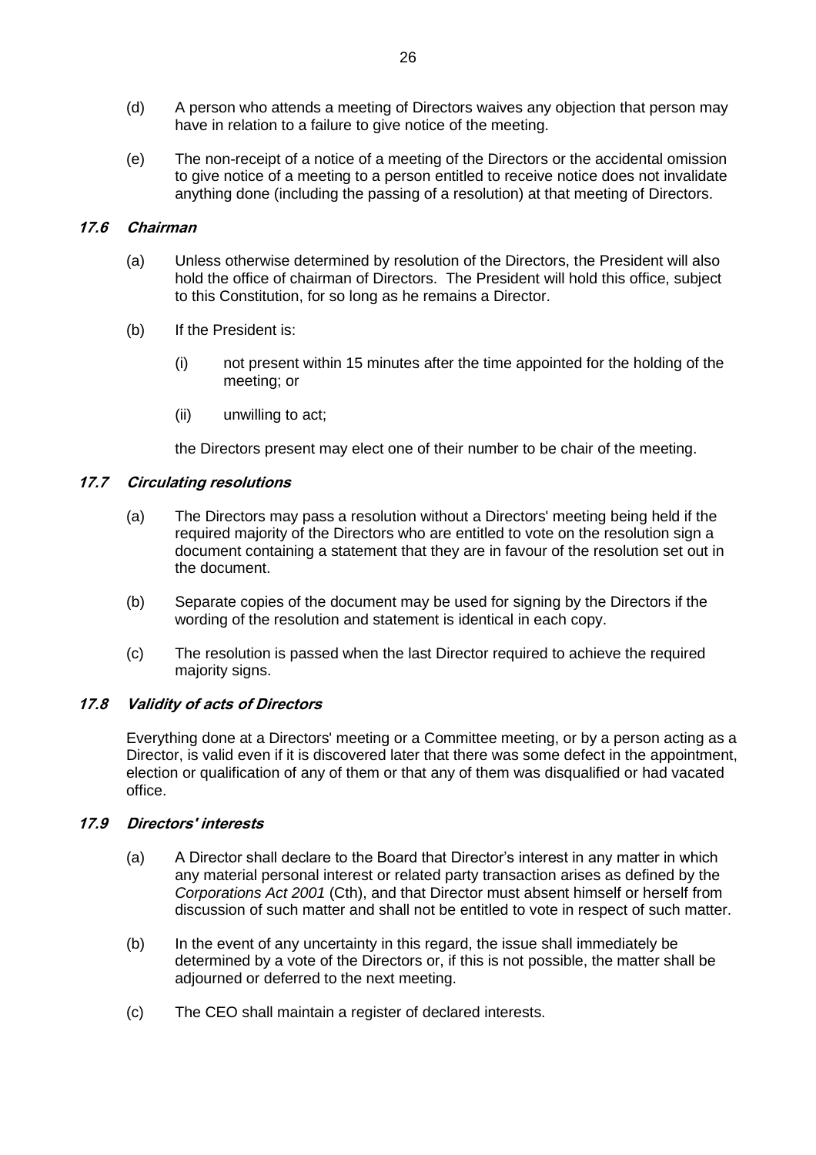- (d) A person who attends a meeting of Directors waives any objection that person may have in relation to a failure to give notice of the meeting.
- (e) The non-receipt of a notice of a meeting of the Directors or the accidental omission to give notice of a meeting to a person entitled to receive notice does not invalidate anything done (including the passing of a resolution) at that meeting of Directors.

# **17.6 Chairman**

- (a) Unless otherwise determined by resolution of the Directors, the President will also hold the office of chairman of Directors. The President will hold this office, subject to this Constitution, for so long as he remains a Director.
- (b) If the President is:
	- (i) not present within 15 minutes after the time appointed for the holding of the meeting; or
	- (ii) unwilling to act;

the Directors present may elect one of their number to be chair of the meeting.

# **17.7 Circulating resolutions**

- (a) The Directors may pass a resolution without a Directors' meeting being held if the required majority of the Directors who are entitled to vote on the resolution sign a document containing a statement that they are in favour of the resolution set out in the document.
- (b) Separate copies of the document may be used for signing by the Directors if the wording of the resolution and statement is identical in each copy.
- (c) The resolution is passed when the last Director required to achieve the required majority signs.

# **17.8 Validity of acts of Directors**

Everything done at a Directors' meeting or a Committee meeting, or by a person acting as a Director, is valid even if it is discovered later that there was some defect in the appointment, election or qualification of any of them or that any of them was disqualified or had vacated office.

# **17.9 Directors' interests**

- (a) A Director shall declare to the Board that Director's interest in any matter in which any material personal interest or related party transaction arises as defined by the *Corporations Act 2001* (Cth), and that Director must absent himself or herself from discussion of such matter and shall not be entitled to vote in respect of such matter.
- (b) In the event of any uncertainty in this regard, the issue shall immediately be determined by a vote of the Directors or, if this is not possible, the matter shall be adjourned or deferred to the next meeting.
- (c) The CEO shall maintain a register of declared interests.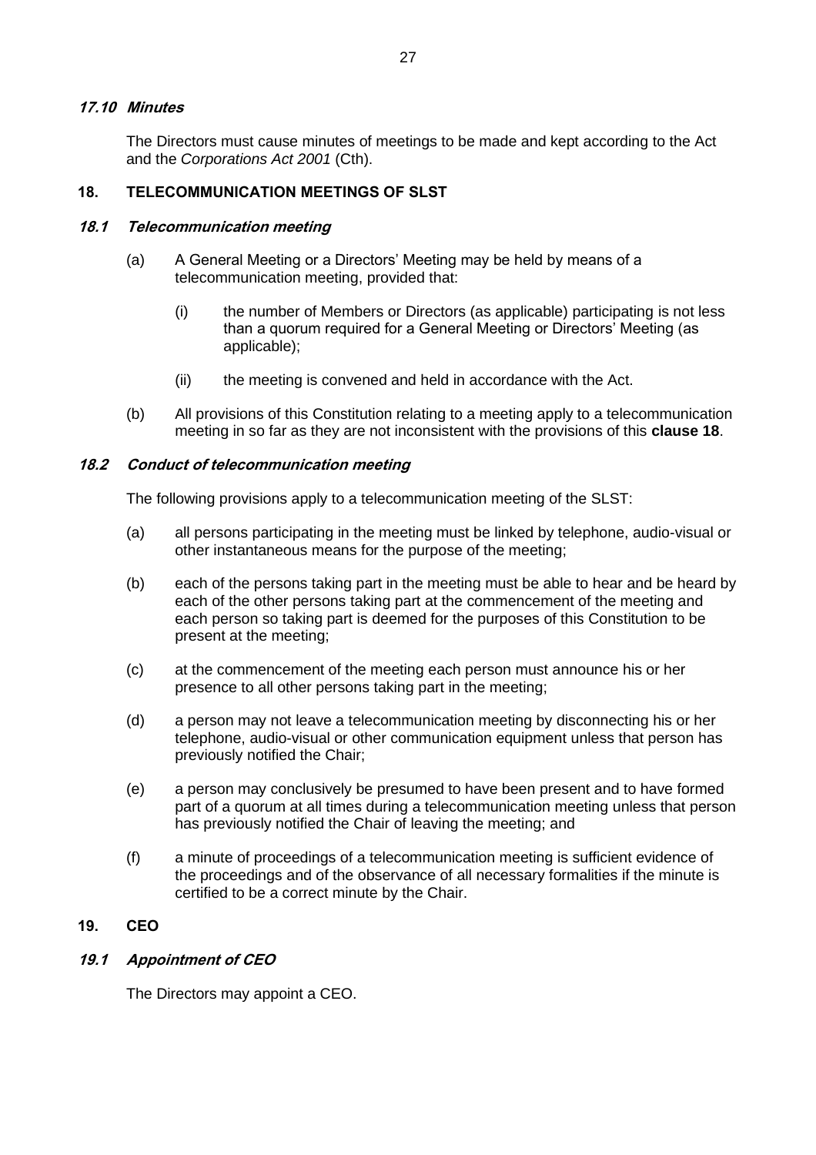#### **17.10 Minutes**

The Directors must cause minutes of meetings to be made and kept according to the Act and the *Corporations Act 2001* (Cth).

# <span id="page-32-0"></span>**18. TELECOMMUNICATION MEETINGS OF SLST**

#### **18.1 Telecommunication meeting**

- (a) A General Meeting or a Directors' Meeting may be held by means of a telecommunication meeting, provided that:
	- (i) the number of Members or Directors (as applicable) participating is not less than a quorum required for a General Meeting or Directors' Meeting (as applicable);
	- (ii) the meeting is convened and held in accordance with the Act.
- (b) All provisions of this Constitution relating to a meeting apply to a telecommunication meeting in so far as they are not inconsistent with the provisions of this **clause [18](#page-32-0)**.

#### **18.2 Conduct of telecommunication meeting**

The following provisions apply to a telecommunication meeting of the SLST:

- (a) all persons participating in the meeting must be linked by telephone, audio-visual or other instantaneous means for the purpose of the meeting;
- (b) each of the persons taking part in the meeting must be able to hear and be heard by each of the other persons taking part at the commencement of the meeting and each person so taking part is deemed for the purposes of this Constitution to be present at the meeting;
- (c) at the commencement of the meeting each person must announce his or her presence to all other persons taking part in the meeting;
- (d) a person may not leave a telecommunication meeting by disconnecting his or her telephone, audio-visual or other communication equipment unless that person has previously notified the Chair;
- (e) a person may conclusively be presumed to have been present and to have formed part of a quorum at all times during a telecommunication meeting unless that person has previously notified the Chair of leaving the meeting; and
- (f) a minute of proceedings of a telecommunication meeting is sufficient evidence of the proceedings and of the observance of all necessary formalities if the minute is certified to be a correct minute by the Chair.

# **19. CEO**

# **19.1 Appointment of CEO**

The Directors may appoint a CEO.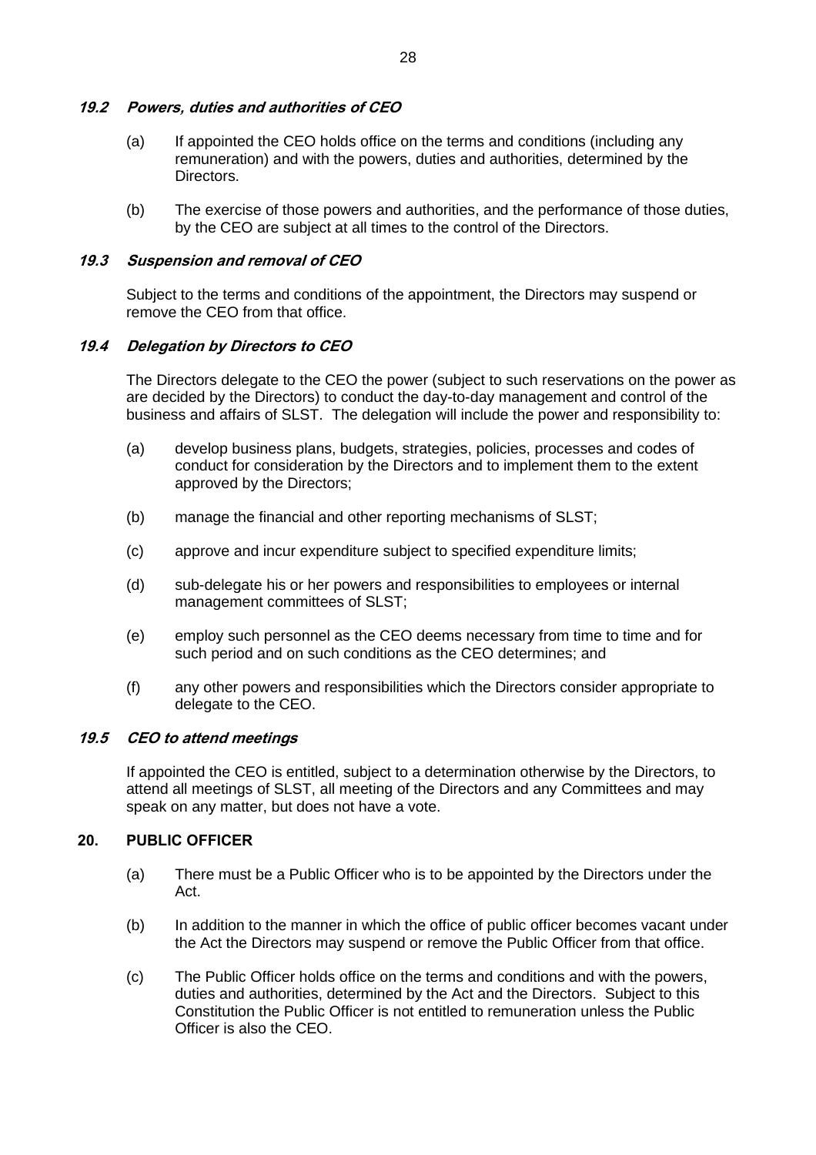# **19.2 Powers, duties and authorities of CEO**

- (a) If appointed the CEO holds office on the terms and conditions (including any remuneration) and with the powers, duties and authorities, determined by the Directors.
- (b) The exercise of those powers and authorities, and the performance of those duties, by the CEO are subject at all times to the control of the Directors.

# **19.3 Suspension and removal of CEO**

Subject to the terms and conditions of the appointment, the Directors may suspend or remove the CEO from that office.

# **19.4 Delegation by Directors to CEO**

The Directors delegate to the CEO the power (subject to such reservations on the power as are decided by the Directors) to conduct the day-to-day management and control of the business and affairs of SLST. The delegation will include the power and responsibility to:

- (a) develop business plans, budgets, strategies, policies, processes and codes of conduct for consideration by the Directors and to implement them to the extent approved by the Directors;
- (b) manage the financial and other reporting mechanisms of SLST;
- (c) approve and incur expenditure subject to specified expenditure limits;
- (d) sub-delegate his or her powers and responsibilities to employees or internal management committees of SLST;
- (e) employ such personnel as the CEO deems necessary from time to time and for such period and on such conditions as the CEO determines; and
- (f) any other powers and responsibilities which the Directors consider appropriate to delegate to the CEO.

#### **19.5 CEO to attend meetings**

If appointed the CEO is entitled, subject to a determination otherwise by the Directors, to attend all meetings of SLST, all meeting of the Directors and any Committees and may speak on any matter, but does not have a vote.

#### **20. PUBLIC OFFICER**

- (a) There must be a Public Officer who is to be appointed by the Directors under the Act.
- (b) In addition to the manner in which the office of public officer becomes vacant under the Act the Directors may suspend or remove the Public Officer from that office.
- (c) The Public Officer holds office on the terms and conditions and with the powers, duties and authorities, determined by the Act and the Directors. Subject to this Constitution the Public Officer is not entitled to remuneration unless the Public Officer is also the CEO.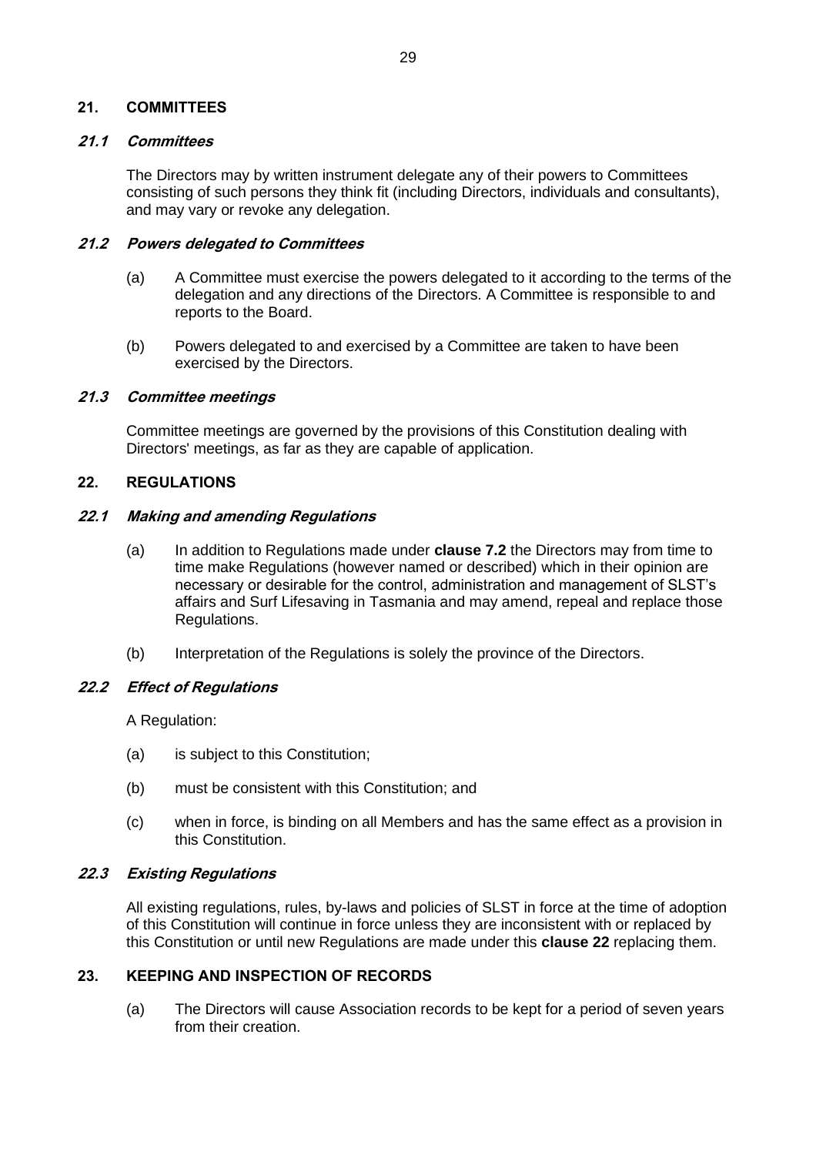#### **21. COMMITTEES**

#### **21.1 Committees**

The Directors may by written instrument delegate any of their powers to Committees consisting of such persons they think fit (including Directors, individuals and consultants), and may vary or revoke any delegation.

#### **21.2 Powers delegated to Committees**

- (a) A Committee must exercise the powers delegated to it according to the terms of the delegation and any directions of the Directors. A Committee is responsible to and reports to the Board.
- (b) Powers delegated to and exercised by a Committee are taken to have been exercised by the Directors.

#### **21.3 Committee meetings**

Committee meetings are governed by the provisions of this Constitution dealing with Directors' meetings, as far as they are capable of application.

#### <span id="page-34-1"></span>**22. REGULATIONS**

#### **22.1 Making and amending Regulations**

- (a) In addition to Regulations made under **clause [7.2](#page-17-1)** the Directors may from time to time make Regulations (however named or described) which in their opinion are necessary or desirable for the control, administration and management of SLST's affairs and Surf Lifesaving in Tasmania and may amend, repeal and replace those Regulations.
- (b) Interpretation of the Regulations is solely the province of the Directors.

#### **22.2 Effect of Regulations**

A Regulation:

- (a) is subject to this Constitution;
- (b) must be consistent with this Constitution; and
- (c) when in force, is binding on all Members and has the same effect as a provision in this Constitution.

# **22.3 Existing Regulations**

All existing regulations, rules, by-laws and policies of SLST in force at the time of adoption of this Constitution will continue in force unless they are inconsistent with or replaced by this Constitution or until new Regulations are made under this **clause [22](#page-34-1)** replacing them.

# <span id="page-34-0"></span>**23. KEEPING AND INSPECTION OF RECORDS**

(a) The Directors will cause Association records to be kept for a period of seven years from their creation.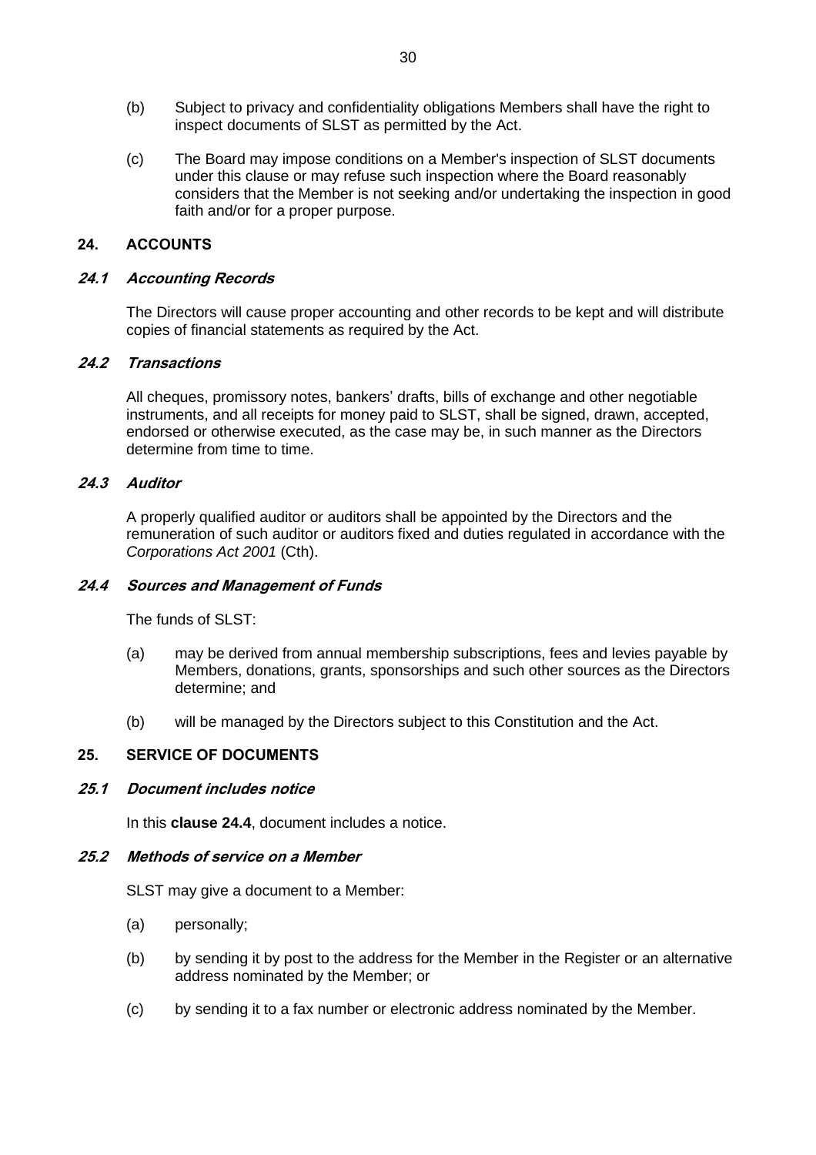- (b) Subject to privacy and confidentiality obligations Members shall have the right to inspect documents of SLST as permitted by the Act.
- (c) The Board may impose conditions on a Member's inspection of SLST documents under this clause or may refuse such inspection where the Board reasonably considers that the Member is not seeking and/or undertaking the inspection in good faith and/or for a proper purpose.

# **24. ACCOUNTS**

#### **24.1 Accounting Records**

The Directors will cause proper accounting and other records to be kept and will distribute copies of financial statements as required by the Act.

#### **24.2 Transactions**

All cheques, promissory notes, bankers' drafts, bills of exchange and other negotiable instruments, and all receipts for money paid to SLST, shall be signed, drawn, accepted, endorsed or otherwise executed, as the case may be, in such manner as the Directors determine from time to time.

#### **24.3 Auditor**

A properly qualified auditor or auditors shall be appointed by the Directors and the remuneration of such auditor or auditors fixed and duties regulated in accordance with the *Corporations Act 2001* (Cth).

#### <span id="page-35-0"></span>**24.4 Sources and Management of Funds**

The funds of SLST:

- (a) may be derived from annual membership subscriptions, fees and levies payable by Members, donations, grants, sponsorships and such other sources as the Directors determine; and
- (b) will be managed by the Directors subject to this Constitution and the Act.

# **25. SERVICE OF DOCUMENTS**

# **25.1 Document includes notice**

In this **clause [24.4](#page-35-0)**, document includes a notice.

#### **25.2 Methods of service on a Member**

SLST may give a document to a Member:

- (a) personally;
- (b) by sending it by post to the address for the Member in the Register or an alternative address nominated by the Member; or
- (c) by sending it to a fax number or electronic address nominated by the Member.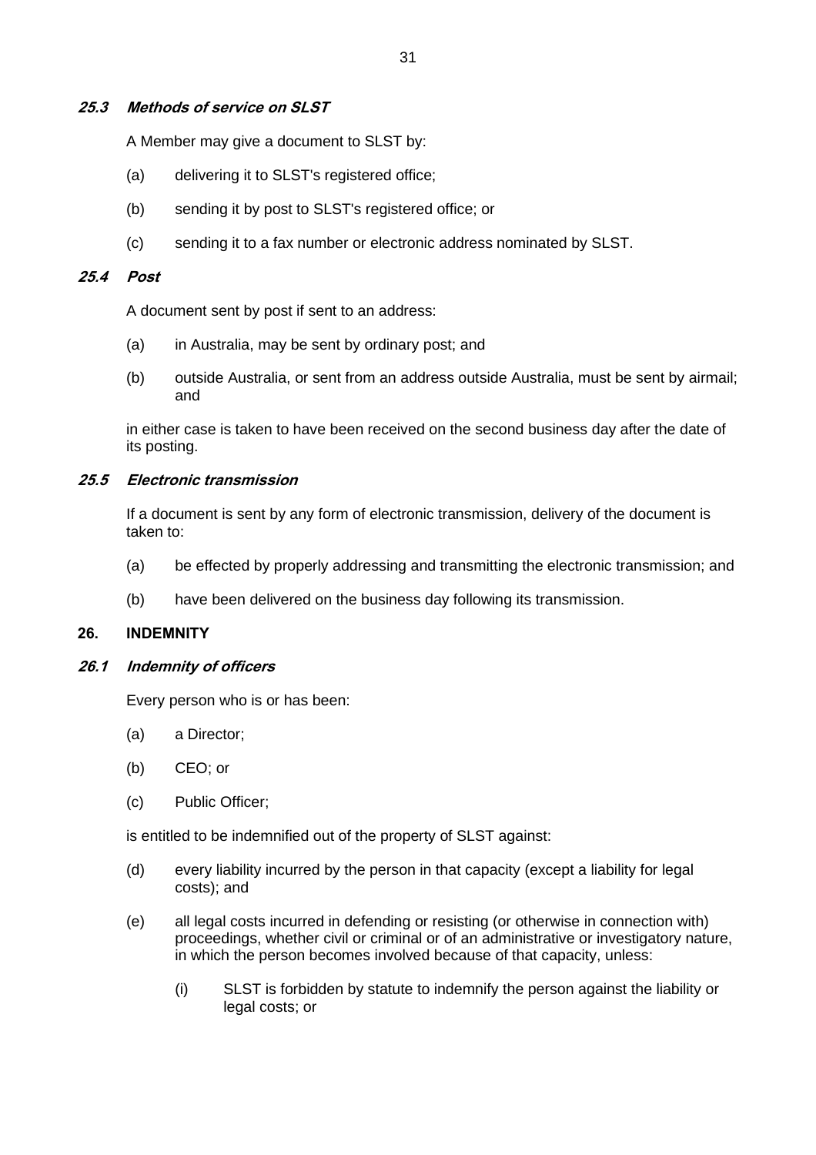# **25.3 Methods of service on SLST**

A Member may give a document to SLST by:

- (a) delivering it to SLST's registered office;
- (b) sending it by post to SLST's registered office; or
- (c) sending it to a fax number or electronic address nominated by SLST.

# **25.4 Post**

A document sent by post if sent to an address:

- (a) in Australia, may be sent by ordinary post; and
- (b) outside Australia, or sent from an address outside Australia, must be sent by airmail; and

in either case is taken to have been received on the second business day after the date of its posting.

#### **25.5 Electronic transmission**

If a document is sent by any form of electronic transmission, delivery of the document is taken to:

- (a) be effected by properly addressing and transmitting the electronic transmission; and
- (b) have been delivered on the business day following its transmission.

# **26. INDEMNITY**

#### <span id="page-36-0"></span>**26.1 Indemnity of officers**

Every person who is or has been:

- (a) a Director;
- (b) CEO; or
- (c) Public Officer;

is entitled to be indemnified out of the property of SLST against:

- (d) every liability incurred by the person in that capacity (except a liability for legal costs); and
- (e) all legal costs incurred in defending or resisting (or otherwise in connection with) proceedings, whether civil or criminal or of an administrative or investigatory nature, in which the person becomes involved because of that capacity, unless:
	- (i) SLST is forbidden by statute to indemnify the person against the liability or legal costs; or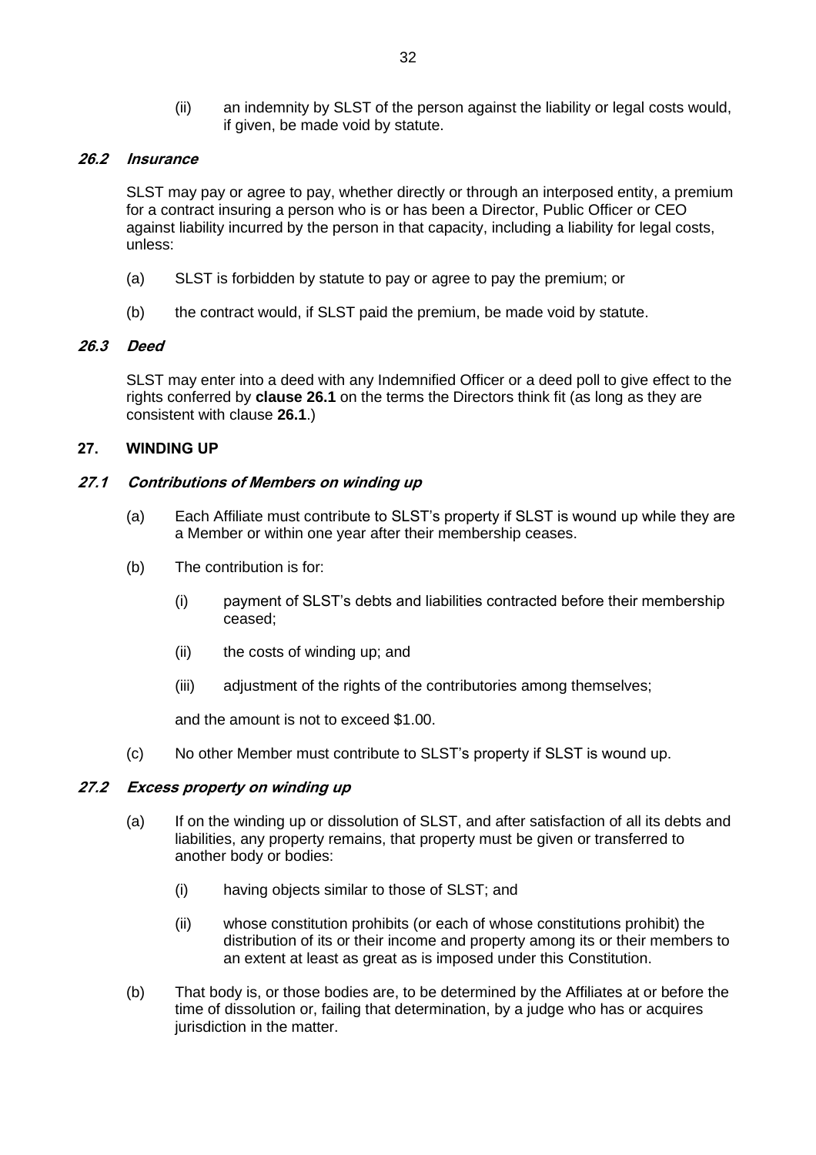(ii) an indemnity by SLST of the person against the liability or legal costs would, if given, be made void by statute.

# **26.2 Insurance**

SLST may pay or agree to pay, whether directly or through an interposed entity, a premium for a contract insuring a person who is or has been a Director, Public Officer or CEO against liability incurred by the person in that capacity, including a liability for legal costs, unless:

- (a) SLST is forbidden by statute to pay or agree to pay the premium; or
- (b) the contract would, if SLST paid the premium, be made void by statute.

# **26.3 Deed**

SLST may enter into a deed with any Indemnified Officer or a deed poll to give effect to the rights conferred by **clause [26.1](#page-36-0)** on the terms the Directors think fit (as long as they are consistent with clause **[26.1](#page-36-0)**.)

# <span id="page-37-0"></span>**27. WINDING UP**

# **27.1 Contributions of Members on winding up**

- (a) Each Affiliate must contribute to SLST's property if SLST is wound up while they are a Member or within one year after their membership ceases.
- (b) The contribution is for:
	- (i) payment of SLST's debts and liabilities contracted before their membership ceased;
	- (ii) the costs of winding up; and
	- (iii) adjustment of the rights of the contributories among themselves;

and the amount is not to exceed \$1.00.

(c) No other Member must contribute to SLST's property if SLST is wound up.

# **27.2 Excess property on winding up**

- (a) If on the winding up or dissolution of SLST, and after satisfaction of all its debts and liabilities, any property remains, that property must be given or transferred to another body or bodies:
	- (i) having objects similar to those of SLST; and
	- (ii) whose constitution prohibits (or each of whose constitutions prohibit) the distribution of its or their income and property among its or their members to an extent at least as great as is imposed under this Constitution.
- (b) That body is, or those bodies are, to be determined by the Affiliates at or before the time of dissolution or, failing that determination, by a judge who has or acquires jurisdiction in the matter.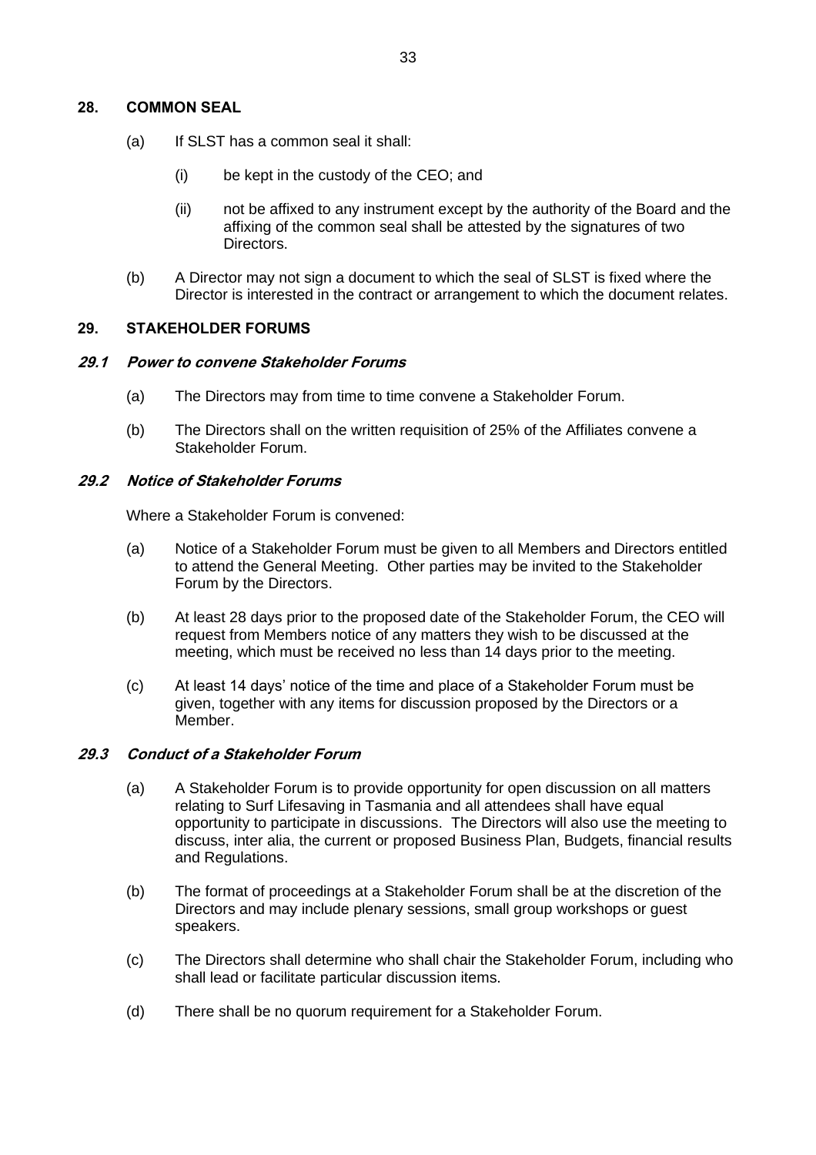#### **28. COMMON SEAL**

- (a) If SLST has a common seal it shall:
	- (i) be kept in the custody of the CEO; and
	- (ii) not be affixed to any instrument except by the authority of the Board and the affixing of the common seal shall be attested by the signatures of two Directors.
- (b) A Director may not sign a document to which the seal of SLST is fixed where the Director is interested in the contract or arrangement to which the document relates.

#### **29. STAKEHOLDER FORUMS**

#### **29.1 Power to convene Stakeholder Forums**

- (a) The Directors may from time to time convene a Stakeholder Forum.
- (b) The Directors shall on the written requisition of 25% of the Affiliates convene a Stakeholder Forum.

#### **29.2 Notice of Stakeholder Forums**

Where a Stakeholder Forum is convened:

- (a) Notice of a Stakeholder Forum must be given to all Members and Directors entitled to attend the General Meeting. Other parties may be invited to the Stakeholder Forum by the Directors.
- (b) At least 28 days prior to the proposed date of the Stakeholder Forum, the CEO will request from Members notice of any matters they wish to be discussed at the meeting, which must be received no less than 14 days prior to the meeting.
- <span id="page-38-0"></span>(c) At least 14 days' notice of the time and place of a Stakeholder Forum must be given, together with any items for discussion proposed by the Directors or a Member.

#### **29.3 Conduct of a Stakeholder Forum**

- (a) A Stakeholder Forum is to provide opportunity for open discussion on all matters relating to Surf Lifesaving in Tasmania and all attendees shall have equal opportunity to participate in discussions. The Directors will also use the meeting to discuss, inter alia, the current or proposed Business Plan, Budgets, financial results and Regulations.
- (b) The format of proceedings at a Stakeholder Forum shall be at the discretion of the Directors and may include plenary sessions, small group workshops or guest speakers.
- (c) The Directors shall determine who shall chair the Stakeholder Forum, including who shall lead or facilitate particular discussion items.
- (d) There shall be no quorum requirement for a Stakeholder Forum.